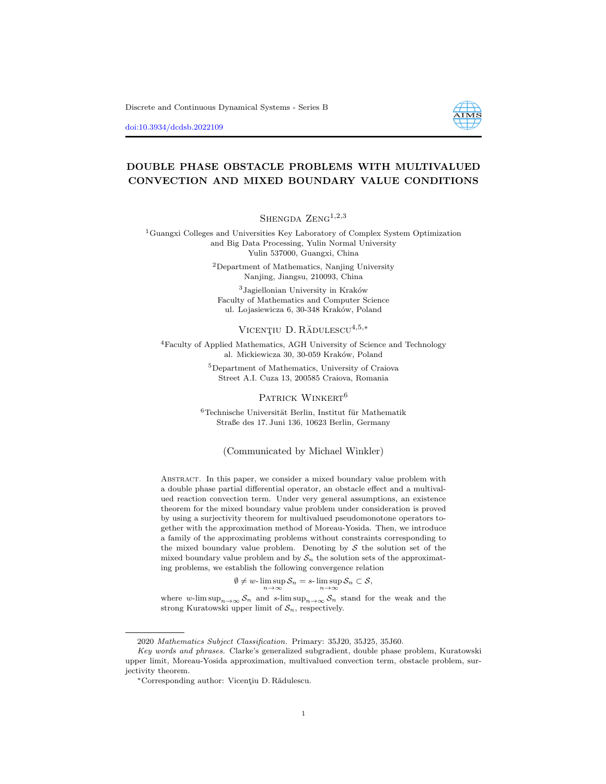Discrete and Continuous Dynamical Systems - Series B

[doi:10.3934/dcdsb.2022109](http://dx.doi.org/10.3934/dcdsb.2022109)



## DOUBLE PHASE OBSTACLE PROBLEMS WITH MULTIVALUED CONVECTION AND MIXED BOUNDARY VALUE CONDITIONS

SHENGDA  $ZENG<sup>1,2,3</sup>$ 

<sup>1</sup>Guangxi Colleges and Universities Key Laboratory of Complex System Optimization and Big Data Processing, Yulin Normal University Yulin 537000, Guangxi, China

> <sup>2</sup>Department of Mathematics, Nanjing University Nanjing, Jiangsu, 210093, China

 $3$ Jagiellonian University in Kraków Faculty of Mathematics and Computer Science ul. Lojasiewicza 6, 30-348 Kraków, Poland

## VICENTIU  $D$ . RĂDULESCU<sup>4,5,\*</sup>

<sup>4</sup>Faculty of Applied Mathematics, AGH University of Science and Technology al. Mickiewicza 30, 30-059 Kraków, Poland

> <sup>5</sup>Department of Mathematics, University of Craiova Street A.I. Cuza 13, 200585 Craiova, Romania

#### PATRICK WINKERT<sup>6</sup>

 $6$ Technische Universität Berlin, Institut für Mathematik Straße des 17. Juni 136, 10623 Berlin, Germany

### (Communicated by Michael Winkler)

Abstract. In this paper, we consider a mixed boundary value problem with a double phase partial differential operator, an obstacle effect and a multivalued reaction convection term. Under very general assumptions, an existence theorem for the mixed boundary value problem under consideration is proved by using a surjectivity theorem for multivalued pseudomonotone operators together with the approximation method of Moreau-Yosida. Then, we introduce a family of the approximating problems without constraints corresponding to the mixed boundary value problem. Denoting by  $S$  the solution set of the mixed boundary value problem and by  $S_n$  the solution sets of the approximating problems, we establish the following convergence relation

$$
\emptyset \neq w\text{-}\limsup_{n\to\infty} S_n = s\text{-}\limsup_{n\to\infty} S_n \subset S,
$$

where w-lim  $\sup_{n\to\infty} S_n$  and s-lim  $\sup_{n\to\infty} S_n$  stand for the weak and the strong Kuratowski upper limit of  $S_n$ , respectively.

<sup>2020</sup> Mathematics Subject Classification. Primary: 35J20, 35J25, 35J60.

Key words and phrases. Clarke's generalized subgradient, double phase problem, Kuratowski upper limit, Moreau-Yosida approximation, multivalued convection term, obstacle problem, surjectivity theorem.

<sup>\*</sup>Corresponding author: Vicențiu D. Rădulescu.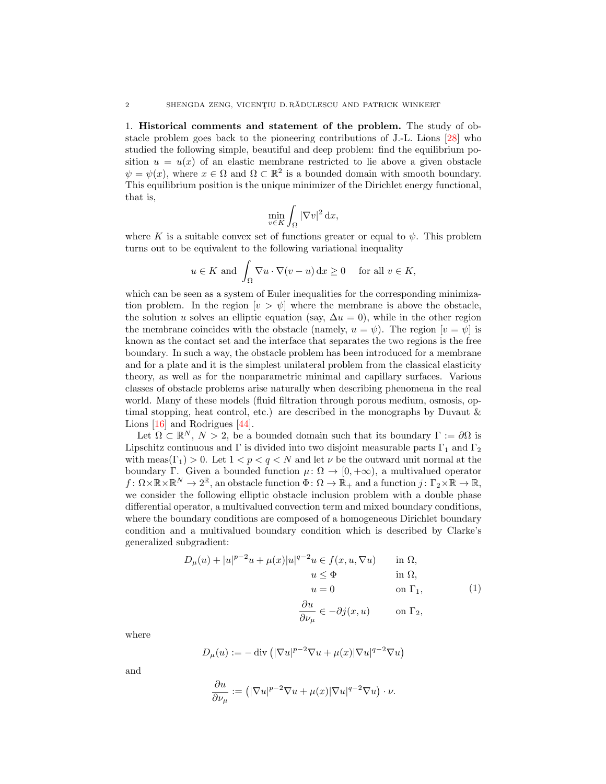1. Historical comments and statement of the problem. The study of obstacle problem goes back to the pioneering contributions of J.-L. Lions [\[28\]](#page-23-0) who studied the following simple, beautiful and deep problem: find the equilibrium position  $u = u(x)$  of an elastic membrane restricted to lie above a given obstacle  $\psi = \psi(x)$ , where  $x \in \Omega$  and  $\Omega \subset \mathbb{R}^2$  is a bounded domain with smooth boundary. This equilibrium position is the unique minimizer of the Dirichlet energy functional, that is,

$$
\min_{v \in K} \int_{\Omega} |\nabla v|^2 \, \mathrm{d}x,
$$

where K is a suitable convex set of functions greater or equal to  $\psi$ . This problem turns out to be equivalent to the following variational inequality

$$
u \in K
$$
 and  $\int_{\Omega} \nabla u \cdot \nabla (v - u) dx \ge 0$  for all  $v \in K$ ,

which can be seen as a system of Euler inequalities for the corresponding minimization problem. In the region  $[v > \psi]$  where the membrane is above the obstacle, the solution u solves an elliptic equation (say,  $\Delta u = 0$ ), while in the other region the membrane coincides with the obstacle (namely,  $u = \psi$ ). The region  $[v = \psi]$  is known as the contact set and the interface that separates the two regions is the free boundary. In such a way, the obstacle problem has been introduced for a membrane and for a plate and it is the simplest unilateral problem from the classical elasticity theory, as well as for the nonparametric minimal and capillary surfaces. Various classes of obstacle problems arise naturally when describing phenomena in the real world. Many of these models (fluid filtration through porous medium, osmosis, optimal stopping, heat control, etc.) are described in the monographs by Duvaut  $\&$ Lions [\[16\]](#page-22-0) and Rodrigues [\[44\]](#page-23-1).

Let  $\Omega \subset \mathbb{R}^N$ ,  $N > 2$ , be a bounded domain such that its boundary  $\Gamma := \partial \Omega$  is Lipschitz continuous and Γ is divided into two disjoint measurable parts  $\Gamma_1$  and  $\Gamma_2$ with meas( $\Gamma_1$ ) > 0. Let  $1 < p < q < N$  and let  $\nu$  be the outward unit normal at the boundary Γ. Given a bounded function  $\mu \colon \Omega \to [0, +\infty)$ , a multivalued operator  $f: \Omega \times \mathbb{R} \times \mathbb{R}^N \to 2^{\mathbb{R}}$ , an obstacle function  $\Phi: \Omega \to \mathbb{R}_+$  and a function  $j: \Gamma_2 \times \mathbb{R} \to \mathbb{R}$ , we consider the following elliptic obstacle inclusion problem with a double phase differential operator, a multivalued convection term and mixed boundary conditions, where the boundary conditions are composed of a homogeneous Dirichlet boundary condition and a multivalued boundary condition which is described by Clarke's generalized subgradient:

<span id="page-1-0"></span>
$$
D_{\mu}(u) + |u|^{p-2}u + \mu(x)|u|^{q-2}u \in f(x, u, \nabla u) \quad \text{in } \Omega,
$$
  
\n
$$
u \leq \Phi \quad \text{in } \Omega,
$$
  
\n
$$
u = 0 \quad \text{on } \Gamma_1,
$$
  
\n
$$
\frac{\partial u}{\partial \nu_{\mu}} \in -\partial j(x, u) \quad \text{on } \Gamma_2,
$$
  
\n(1)

where

$$
D_\mu(u):=-\operatorname{div}\left(|\nabla u|^{p-2}\nabla u+\mu(x)|\nabla u|^{q-2}\nabla u\right)
$$

and

$$
\frac{\partial u}{\partial \nu_{\mu}} := \left( |\nabla u|^{p-2} \nabla u + \mu(x) |\nabla u|^{q-2} \nabla u \right) \cdot \nu.
$$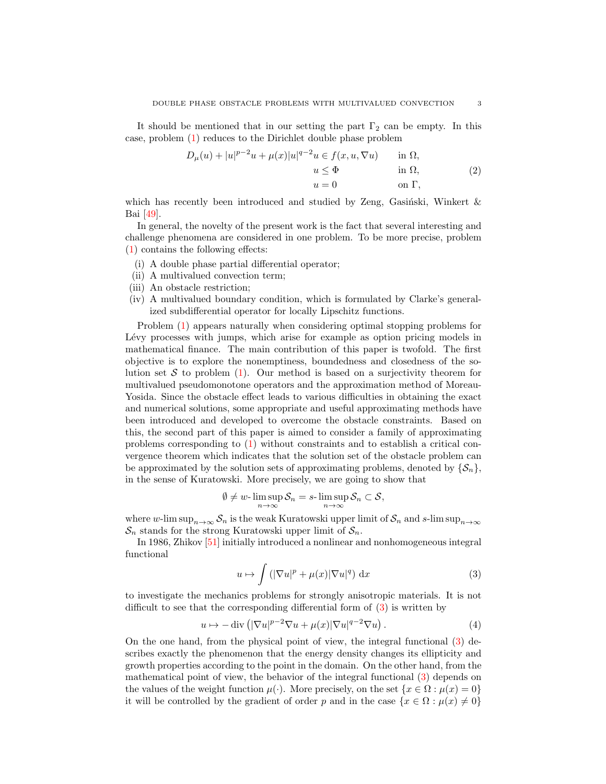It should be mentioned that in our setting the part  $\Gamma_2$  can be empty. In this case, problem [\(1\)](#page-1-0) reduces to the Dirichlet double phase problem

<span id="page-2-2"></span>
$$
D_{\mu}(u) + |u|^{p-2}u + \mu(x)|u|^{q-2}u \in f(x, u, \nabla u) \quad \text{in } \Omega,
$$
  
\n
$$
u \leq \Phi \quad \text{in } \Omega,
$$
  
\n
$$
u = 0 \quad \text{on } \Gamma,
$$
\n(2)

which has recently been introduced and studied by Zeng, Gasinski, Winkert  $\&$ Bai [\[49\]](#page-23-2).

In general, the novelty of the present work is the fact that several interesting and challenge phenomena are considered in one problem. To be more precise, problem [\(1\)](#page-1-0) contains the following effects:

- (i) A double phase partial differential operator;
- (ii) A multivalued convection term;
- (iii) An obstacle restriction;
- (iv) A multivalued boundary condition, which is formulated by Clarke's generalized subdifferential operator for locally Lipschitz functions.

Problem [\(1\)](#page-1-0) appears naturally when considering optimal stopping problems for Lévy processes with jumps, which arise for example as option pricing models in mathematical finance. The main contribution of this paper is twofold. The first objective is to explore the nonemptiness, boundedness and closedness of the solution set S to problem  $(1)$ . Our method is based on a surjectivity theorem for multivalued pseudomonotone operators and the approximation method of Moreau-Yosida. Since the obstacle effect leads to various difficulties in obtaining the exact and numerical solutions, some appropriate and useful approximating methods have been introduced and developed to overcome the obstacle constraints. Based on this, the second part of this paper is aimed to consider a family of approximating problems corresponding to [\(1\)](#page-1-0) without constraints and to establish a critical convergence theorem which indicates that the solution set of the obstacle problem can be approximated by the solution sets of approximating problems, denoted by  $\{\mathcal{S}_n\}$ , in the sense of Kuratowski. More precisely, we are going to show that

$$
\emptyset \neq w\text{-}\limsup_{n\to\infty} \mathcal{S}_n = s\text{-}\limsup_{n\to\infty} \mathcal{S}_n \subset \mathcal{S},
$$

where w-lim sup<sub>n→∞</sub>  $S_n$  is the weak Kuratowski upper limit of  $S_n$  and s-lim sup<sub>n→∞</sub>  $\mathcal{S}_n$  stands for the strong Kuratowski upper limit of  $\mathcal{S}_n$ .

In 1986, Zhikov [\[51\]](#page-23-3) initially introduced a nonlinear and nonhomogeneous integral functional

<span id="page-2-0"></span>
$$
u \mapsto \int \left( |\nabla u|^p + \mu(x) |\nabla u|^q \right) \, \mathrm{d}x \tag{3}
$$

to investigate the mechanics problems for strongly anisotropic materials. It is not difficult to see that the corresponding differential form of [\(3\)](#page-2-0) is written by

<span id="page-2-1"></span>
$$
u \mapsto -\operatorname{div}\left( |\nabla u|^{p-2} \nabla u + \mu(x) |\nabla u|^{q-2} \nabla u \right). \tag{4}
$$

On the one hand, from the physical point of view, the integral functional [\(3\)](#page-2-0) describes exactly the phenomenon that the energy density changes its ellipticity and growth properties according to the point in the domain. On the other hand, from the mathematical point of view, the behavior of the integral functional [\(3\)](#page-2-0) depends on the values of the weight function  $\mu(\cdot)$ . More precisely, on the set  $\{x \in \Omega : \mu(x) = 0\}$ it will be controlled by the gradient of order p and in the case  $\{x \in \Omega : \mu(x) \neq 0\}$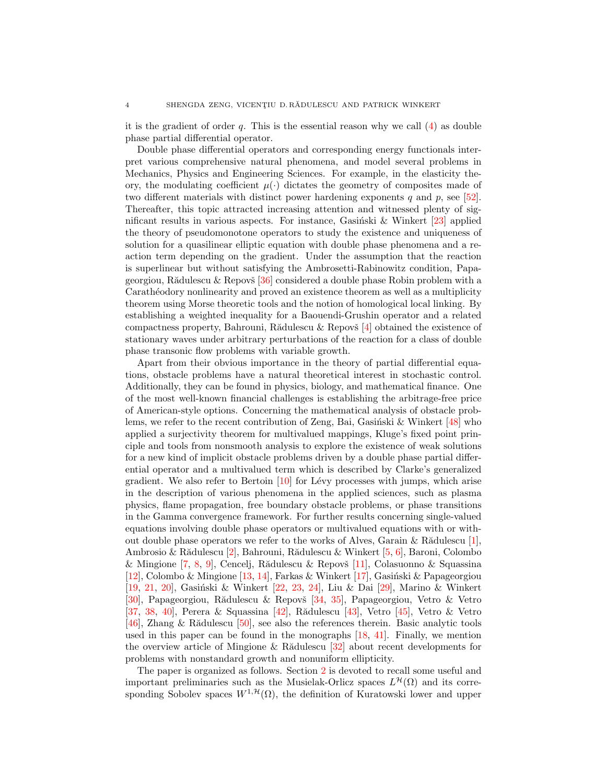it is the gradient of order  $q$ . This is the essential reason why we call  $(4)$  as double phase partial differential operator.

Double phase differential operators and corresponding energy functionals interpret various comprehensive natural phenomena, and model several problems in Mechanics, Physics and Engineering Sciences. For example, in the elasticity theory, the modulating coefficient  $\mu(\cdot)$  dictates the geometry of composites made of two different materials with distinct power hardening exponents q and  $p$ , see [\[52\]](#page-23-4). Thereafter, this topic attracted increasing attention and witnessed plenty of significant results in various aspects. For instance, Gasinski & Winkert  $[23]$  applied the theory of pseudomonotone operators to study the existence and uniqueness of solution for a quasilinear elliptic equation with double phase phenomena and a reaction term depending on the gradient. Under the assumption that the reaction is superlinear but without satisfying the Ambrosetti-Rabinowitz condition, Papageorgiou, Rădulescu & Repovš  $[36]$  considered a double phase Robin problem with a Carathéodory nonlinearity and proved an existence theorem as well as a multiplicity theorem using Morse theoretic tools and the notion of homological local linking. By establishing a weighted inequality for a Baouendi-Grushin operator and a related compactness property, Bahrouni, Rădulescu & Repovš  $[4]$  obtained the existence of stationary waves under arbitrary perturbations of the reaction for a class of double phase transonic flow problems with variable growth.

Apart from their obvious importance in the theory of partial differential equations, obstacle problems have a natural theoretical interest in stochastic control. Additionally, they can be found in physics, biology, and mathematical finance. One of the most well-known financial challenges is establishing the arbitrage-free price of American-style options. Concerning the mathematical analysis of obstacle problems, we refer to the recent contribution of Zeng, Bai, Gasinski & Winkert  $[48]$  who applied a surjectivity theorem for multivalued mappings, Kluge's fixed point principle and tools from nonsmooth analysis to explore the existence of weak solutions for a new kind of implicit obstacle problems driven by a double phase partial differential operator and a multivalued term which is described by Clarke's generalized gradient. We also refer to Bertoin  $[10]$  for Lévy processes with jumps, which arise in the description of various phenomena in the applied sciences, such as plasma physics, flame propagation, free boundary obstacle problems, or phase transitions in the Gamma convergence framework. For further results concerning single-valued equations involving double phase operators or multivalued equations with or without double phase operators we refer to the works of Alves, Garain & R $\ddot{\text{add}}$ ulescu [\[1\]](#page-22-4), Ambrosio & Rădulescu [\[2\]](#page-22-5), Bahrouni, Rădulescu & Winkert [\[5,](#page-22-6) [6\]](#page-22-7), Baroni, Colombo & Mingione [\[7,](#page-22-8) [8,](#page-22-9) [9\]](#page-22-10), Cencelj, Rădulescu & Repovš [\[11\]](#page-22-11), Colasuonno & Squassina [\[12\]](#page-22-12), Colombo & Mingione [\[13,](#page-22-13) [14\]](#page-22-14), Farkas & Winkert [\[17\]](#page-22-15), Gasiński & Papageorgiou [\[19,](#page-22-16) [21,](#page-22-17) [20\]](#page-22-18), Gasiński & Winkert [\[22,](#page-22-19) [23,](#page-22-1) [24\]](#page-22-20), Liu & Dai [\[29\]](#page-23-7), Marino & Winkert [\[30\]](#page-23-8), Papageorgiou, Rădulescu & Repovš [\[34,](#page-23-9) [35\]](#page-23-10), Papageorgiou, Vetro & Vetro [\[37,](#page-23-11) [38,](#page-23-12) [40\]](#page-23-13), Perera & Squassina  $[42]$ , Rădulescu  $[43]$ , Vetro  $[45]$ , Vetro & Vetro [\[46\]](#page-23-17), Zhang & Rădulescu [\[50\]](#page-23-18), see also the references therein. Basic analytic tools used in this paper can be found in the monographs [\[18,](#page-22-21) [41\]](#page-23-19). Finally, we mention the overview article of Mingione & R $\ddot{\text{add}}$ lescu [\[32\]](#page-23-20) about recent developments for problems with nonstandard growth and nonuniform ellipticity.

The paper is organized as follows. Section [2](#page-4-0) is devoted to recall some useful and important preliminaries such as the Musielak-Orlicz spaces  $L^{\mathcal{H}}(\Omega)$  and its corresponding Sobolev spaces  $W^{1, \mathcal{H}}(\Omega)$ , the definition of Kuratowski lower and upper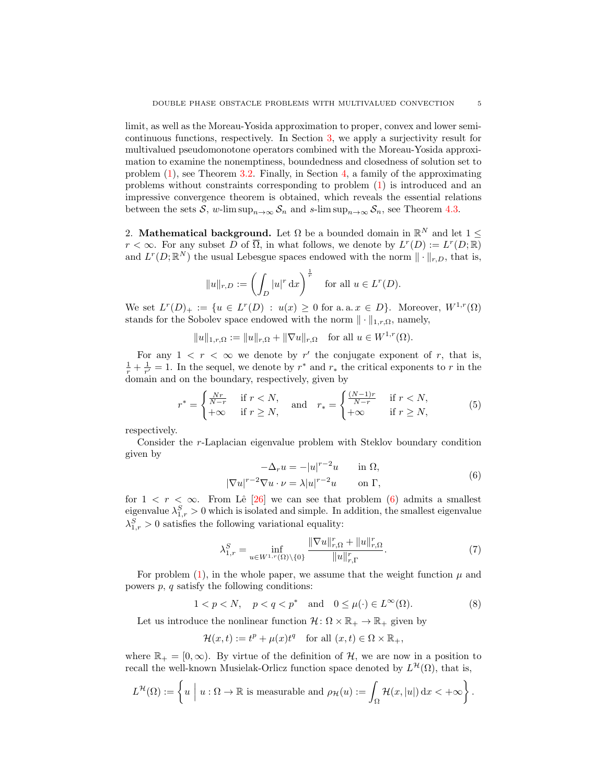limit, as well as the Moreau-Yosida approximation to proper, convex and lower semicontinuous functions, respectively. In Section [3,](#page-7-0) we apply a surjectivity result for multivalued pseudomonotone operators combined with the Moreau-Yosida approximation to examine the nonemptiness, boundedness and closedness of solution set to problem [\(1\)](#page-1-0), see Theorem [3.2.](#page-9-0) Finally, in Section [4,](#page-16-0) a family of the approximating problems without constraints corresponding to problem [\(1\)](#page-1-0) is introduced and an impressive convergence theorem is obtained, which reveals the essential relations between the sets S, w-lim sup<sub>n→∞</sub>  $S_n$  and s-lim sup<sub>n→∞</sub>  $S_n$ , see Theorem [4.3.](#page-17-0)

<span id="page-4-0"></span>2. Mathematical background. Let  $\Omega$  be a bounded domain in  $\mathbb{R}^N$  and let  $1 \leq$  $r < \infty$ . For any subset  $\overline{D}$  of  $\overline{\Omega}$ , in what follows, we denote by  $L^r(D) := L^r(D;\mathbb{R})$ and  $L^r(D; \mathbb{R}^N)$  the usual Lebesgue spaces endowed with the norm  $\|\cdot\|_{r,D}$ , that is,

$$
||u||_{r,D} := \left(\int_D |u|^r \,dx\right)^{\frac{1}{r}} \quad \text{for all } u \in L^r(D).
$$

We set  $L^r(D)_+ := \{u \in L^r(D) : u(x) \geq 0 \text{ for a.a. } x \in D\}.$  Moreover,  $W^{1,r}(\Omega)$ stands for the Sobolev space endowed with the norm  $\|\cdot\|_{1,r,\Omega}$ , namely,

 $||u||_{1,r,\Omega} := ||u||_{r,\Omega} + ||\nabla u||_{r,\Omega}$  for all  $u \in W^{1,r}(\Omega)$ .

For any  $1 \leq r \leq \infty$  we denote by r' the conjugate exponent of r, that is,  $\frac{1}{r} + \frac{1}{r'} = 1$ . In the sequel, we denote by  $r^*$  and  $r_*$  the critical exponents to r in the domain and on the boundary, respectively, given by

$$
r^* = \begin{cases} \frac{Nr}{N-r} & \text{if } r < N, \\ +\infty & \text{if } r \ge N, \end{cases} \quad \text{and} \quad r_* = \begin{cases} \frac{(N-1)r}{N-r} & \text{if } r < N, \\ +\infty & \text{if } r \ge N, \end{cases} \tag{5}
$$

respectively.

Consider the r-Laplacian eigenvalue problem with Steklov boundary condition given by

<span id="page-4-3"></span><span id="page-4-1"></span>
$$
-\Delta_r u = -|u|^{r-2}u \quad \text{in } \Omega,
$$
  

$$
|\nabla u|^{r-2} \nabla u \cdot \nu = \lambda |u|^{r-2}u \quad \text{on } \Gamma,
$$
 (6)

for  $1 < r < \infty$ . From Lê [\[26\]](#page-23-21) we can see that problem [\(6\)](#page-4-1) admits a smallest eigenvalue  $\lambda_{1,r}^S > 0$  which is isolated and simple. In addition, the smallest eigenvalue  $\lambda_{1,r}^S > 0$  satisfies the following variational equality:

<span id="page-4-4"></span><span id="page-4-2"></span>
$$
\lambda_{1,r}^{S} = \inf_{u \in W^{1,r}(\Omega) \setminus \{0\}} \frac{\|\nabla u\|_{r,\Omega}^{r} + \|u\|_{r,\Omega}^{r}}{\|u\|_{r,\Gamma}^{r}}.
$$
(7)

For problem  $(1)$ , in the whole paper, we assume that the weight function  $\mu$  and powers  $p$ ,  $q$  satisfy the following conditions:

$$
1 < p < N, \quad p < q < p^* \quad \text{and} \quad 0 \le \mu(\cdot) \in L^{\infty}(\Omega). \tag{8}
$$

Let us introduce the nonlinear function  $\mathcal{H} \colon \Omega \times \mathbb{R}_+ \to \mathbb{R}_+$  given by

$$
\mathcal{H}(x,t) := t^p + \mu(x)t^q \quad \text{for all } (x,t) \in \Omega \times \mathbb{R}_+,
$$

where  $\mathbb{R}_+ = [0, \infty)$ . By virtue of the definition of H, we are now in a position to recall the well-known Musielak-Orlicz function space denoted by  $L^{\mathcal{H}}(\Omega)$ , that is,

$$
L^{\mathcal{H}}(\Omega) := \left\{ u \mid u : \Omega \to \mathbb{R} \text{ is measurable and } \rho_{\mathcal{H}}(u) := \int_{\Omega} \mathcal{H}(x, |u|) dx < +\infty \right\}.
$$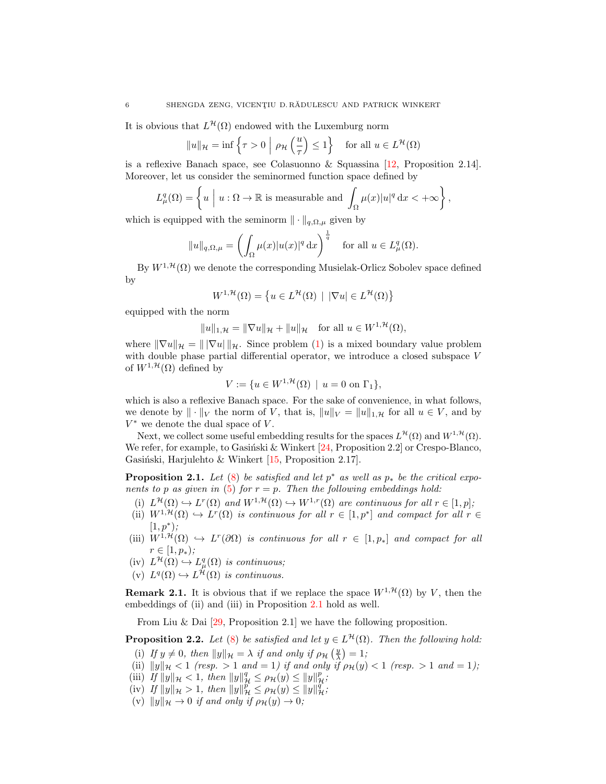It is obvious that  $L^{\mathcal{H}}(\Omega)$  endowed with the Luxemburg norm

$$
||u||_{\mathcal{H}} = \inf \left\{ \tau > 0 \mid \rho_{\mathcal{H}} \left( \frac{u}{\tau} \right) \le 1 \right\} \quad \text{for all } u \in L^{\mathcal{H}}(\Omega)
$$

is a reflexive Banach space, see Colasuonno & Squassina [\[12,](#page-22-12) Proposition 2.14]. Moreover, let us consider the seminormed function space defined by

$$
L^q_\mu(\Omega) = \left\{ u \mid u : \Omega \to \mathbb{R} \text{ is measurable and } \int_{\Omega} \mu(x) |u|^q \, \mathrm{d}x < +\infty \right\},\
$$

which is equipped with the seminorm  $\|\cdot\|_{q,\Omega,\mu}$  given by

$$
||u||_{q,\Omega,\mu} = \left(\int_{\Omega} \mu(x)|u(x)|^q dx\right)^{\frac{1}{q}} \quad \text{for all } u \in L^q_{\mu}(\Omega).
$$

By  $W^{1,\mathcal{H}}(\Omega)$  we denote the corresponding Musielak-Orlicz Sobolev space defined by

$$
W^{1,\mathcal{H}}(\Omega) = \left\{ u \in L^{\mathcal{H}}(\Omega) \mid |\nabla u| \in L^{\mathcal{H}}(\Omega) \right\}
$$

equipped with the norm

$$
||u||_{1,\mathcal{H}} = ||\nabla u||_{\mathcal{H}} + ||u||_{\mathcal{H}} \quad \text{for all } u \in W^{1,\mathcal{H}}(\Omega),
$$

where  $\|\nabla u\|_{\mathcal{H}} = \|\nabla u\|_{\mathcal{H}}$ . Since problem [\(1\)](#page-1-0) is a mixed boundary value problem with double phase partial differential operator, we introduce a closed subspace V of  $W^{1,\mathcal{H}}(\Omega)$  defined by

$$
V := \{ u \in W^{1, \mathcal{H}}(\Omega) \mid u = 0 \text{ on } \Gamma_1 \},
$$

which is also a reflexive Banach space. For the sake of convenience, in what follows, we denote by  $\|\cdot\|_V$  the norm of V, that is,  $\|u\|_V = \|u\|_{1,\mathcal{H}}$  for all  $u \in V$ , and by  $V^*$  we denote the dual space of  $V$ .

Next, we collect some useful embedding results for the spaces  $L^{\mathcal{H}}(\Omega)$  and  $W^{1,\mathcal{H}}(\Omega)$ . We refer, for example, to Gasiński & Winkert  $[24,$  Proposition 2.2] or Crespo-Blanco, Gasiński, Harjulehto & Winkert  $[15,$  Proposition 2.17].

<span id="page-5-0"></span>**Proposition 2.1.** Let [\(8\)](#page-4-2) be satisfied and let  $p^*$  as well as  $p_*$  be the critical expo-nents to p as given in [\(5\)](#page-4-3) for  $r = p$ . Then the following embeddings hold:

- (i)  $L^{\mathcal{H}}(\Omega) \hookrightarrow L^{r}(\Omega)$  and  $W^{1,\mathcal{H}}(\Omega) \hookrightarrow W^{1,r}(\Omega)$  are continuous for all  $r \in [1,p]$ ;
- (ii)  $W^{1,\mathcal{H}}(\Omega) \hookrightarrow L^r(\Omega)$  is continuous for all  $r \in [1,p^*]$  and compact for all  $r \in$  $[1, p^*);$
- (iii)  $W^{1,\mathcal{H}}(\Omega) \hookrightarrow L^r(\partial\Omega)$  is continuous for all  $r \in [1,p_*]$  and compact for all  $r \in [1, p_*)$ ;
- $(iv) L^{\mathcal{H}}(\Omega) \hookrightarrow L^q_{\mu}(\Omega)$  is continuous;
- (v)  $L^q(\Omega) \hookrightarrow L^{\mathcal{H}}(\Omega)$  is continuous.

**Remark 2.1.** It is obvious that if we replace the space  $W^{1, \mathcal{H}}(\Omega)$  by V, then the embeddings of (ii) and (iii) in Proposition [2.1](#page-5-0) hold as well.

From Liu & Dai  $[29,$  Proposition 2.1 we have the following proposition.

**Proposition 2.2.** Let [\(8\)](#page-4-2) be satisfied and let  $y \in L^{\mathcal{H}}(\Omega)$ . Then the following hold:

- (i) If  $y \neq 0$ , then  $||y||_{\mathcal{H}} = \lambda$  if and only if  $\rho_{\mathcal{H}}\left(\frac{y}{\lambda}\right) = 1$ ;
- (ii)  $||y||_{\mathcal{H}} < 1$  (resp. > 1 and = 1) if and only if  $\rho_{\mathcal{H}}(y) < 1$  (resp. > 1 and = 1);
- (iii) If  $||y||_{\mathcal{H}} < 1$ , then  $||y||_{\mathcal{H}}^q \le \rho_{\mathcal{H}}(y) \le ||y||_{\mathcal{H}}^p$ ;
- (iv) If  $||y||_{\mathcal{H}} > 1$ , then  $||y||_{\mathcal{H}}^p \le \rho_{\mathcal{H}}(y) \le ||y||_{\mathcal{H}}^q$ ;
- (v)  $||y||_{\mathcal{H}} \to 0$  if and only if  $\rho_{\mathcal{H}}(y) \to 0$ ;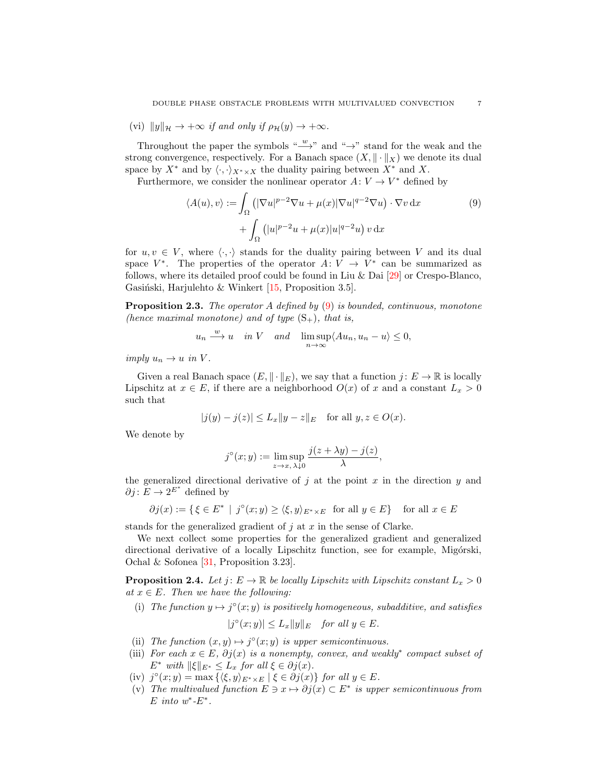(vi)  $||y||_{\mathcal{H}} \rightarrow +\infty$  if and only if  $\rho_{\mathcal{H}}(y) \rightarrow +\infty$ .

Throughout the paper the symbols " $\overset{w}{\longrightarrow}$ " and "→" stand for the weak and the strong convergence, respectively. For a Banach space  $(X, \|\cdot\|_X)$  we denote its dual space by  $X^*$  and by  $\langle \cdot, \cdot \rangle_{X^* \times X}$  the duality pairing between  $X^*$  and X.

Furthermore, we consider the nonlinear operator  $A: V \to V^*$  defined by

<span id="page-6-0"></span>
$$
\langle A(u), v \rangle := \int_{\Omega} \left( |\nabla u|^{p-2} \nabla u + \mu(x) |\nabla u|^{q-2} \nabla u \right) \cdot \nabla v \, dx
$$
  
+ 
$$
\int_{\Omega} \left( |u|^{p-2} u + \mu(x) |u|^{q-2} u \right) v \, dx
$$
 (9)

for  $u, v \in V$ , where  $\langle \cdot, \cdot \rangle$  stands for the duality pairing between V and its dual space  $V^*$ . The properties of the operator  $A: V \to V^*$  can be summarized as follows, where its detailed proof could be found in Liu & Dai [\[29\]](#page-23-7) or Crespo-Blanco, Gasiński, Harjulehto & Winkert  $[15,$  Proposition 3.5].

<span id="page-6-1"></span>**Proposition 2.3.** The operator A defined by  $(9)$  is bounded, continuous, monotone (hence maximal monotone) and of type  $(S_+)$ , that is,

$$
u_n \xrightarrow{w} u
$$
 in V and  $\limsup_{n \to \infty} \langle Au_n, u_n - u \rangle \leq 0$ ,

imply  $u_n \to u$  in V.

Given a real Banach space  $(E, \|\cdot\|_E)$ , we say that a function  $j: E \to \mathbb{R}$  is locally Lipschitz at  $x \in E$ , if there are a neighborhood  $O(x)$  of x and a constant  $L_x > 0$ such that

$$
|j(y) - j(z)| \le L_x \|y - z\|_E
$$
 for all  $y, z \in O(x)$ .

We denote by

$$
j^{\circ}(x;y) := \limsup_{z \to x, \lambda \downarrow 0} \frac{j(z + \lambda y) - j(z)}{\lambda},
$$

the generalized directional derivative of j at the point x in the direction  $y$  and  $\partial j: E \to 2^{E^*}$  defined by

$$
\partial j(x) := \{ \xi \in E^* \mid j^{\circ}(x; y) \ge \langle \xi, y \rangle_{E^* \times E} \text{ for all } y \in E \} \text{ for all } x \in E
$$

stands for the generalized gradient of  $j$  at  $x$  in the sense of Clarke.

We next collect some properties for the generalized gradient and generalized directional derivative of a locally Lipschitz function, see for example, Migórski, Ochal & Sofonea [\[31,](#page-23-22) Proposition 3.23].

**Proposition 2.4.** Let  $j: E \to \mathbb{R}$  be locally Lipschitz with Lipschitz constant  $L_x > 0$ at  $x \in E$ . Then we have the following:

(i) The function  $y \mapsto j^{\circ}(x; y)$  is positively homogeneous, subadditive, and satisfies

$$
|j^{\circ}(x;y)| \le L_x \|y\|_E \quad \text{for all } y \in E.
$$

- (ii) The function  $(x, y) \mapsto j^{\circ}(x, y)$  is upper semicontinuous.
- (iii) For each  $x \in E$ ,  $\partial j(x)$  is a nonempty, convex, and weakly<sup>\*</sup> compact subset of  $E^*$  with  $\|\xi\|_{E^*} \leq L_x$  for all  $\xi \in \partial j(x)$ .
- (iv)  $j^{\circ}(x; y) = \max \{ \langle \xi, y \rangle_{E^* \times E} \mid \xi \in \partial j(x) \}$  for all  $y \in E$ .
- (v) The multivalued function  $E \ni x \mapsto \partial j(x) \subset E^*$  is upper semicontinuous from E into  $w^*$ - $E^*$ .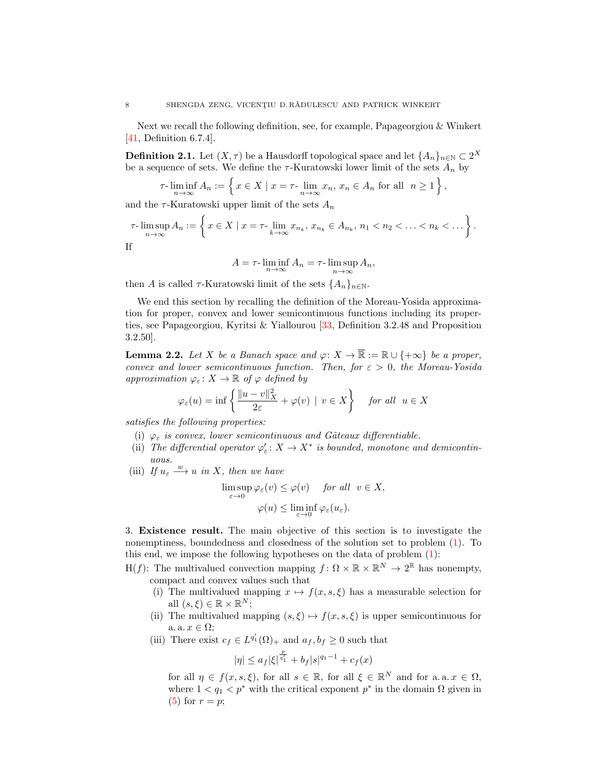Next we recall the following definition, see, for example, Papageorgiou & Winkert [\[41,](#page-23-19) Definition 6.7.4].

**Definition 2.1.** Let  $(X, \tau)$  be a Hausdorff topological space and let  $\{A_n\}_{n\in\mathbb{N}}\subset 2^X$ be a sequence of sets. We define the  $\tau$ -Kuratowski lower limit of the sets  $A_n$  by

$$
\tau\text{-}\liminf_{n\to\infty} A_n := \left\{ x \in X \mid x = \tau\text{-}\lim_{n\to\infty} x_n, \, x_n \in A_n \text{ for all } n \ge 1 \right\},\,
$$

and the  $\tau$ -Kuratowski upper limit of the sets  $A_n$ 

$$
\tau\text{-}\limsup_{n\to\infty} A_n := \left\{ x \in X \mid x = \tau\text{-}\lim_{k\to\infty} x_{n_k}, x_{n_k} \in A_{n_k}, n_1 < n_2 < \ldots < n_k < \ldots \right\}.
$$
  
If

$$
A = \tau \cdot \liminf_{n \to \infty} A_n = \tau \cdot \limsup_{n \to \infty} A_n,
$$

then A is called  $\tau$ -Kuratowski limit of the sets  $\{A_n\}_{n\in\mathbb{N}}$ .

We end this section by recalling the definition of the Moreau-Yosida approximation for proper, convex and lower semicontinuous functions including its properties, see Papageorgiou, Kyritsi & Yiallourou [\[33,](#page-23-23) Definition 3.2.48 and Proposition 3.2.50].

<span id="page-7-1"></span>**Lemma 2.2.** Let X be a Banach space and  $\varphi: X \to \mathbb{R} := \mathbb{R} \cup \{+\infty\}$  be a proper, convex and lower semicontinuous function. Then, for  $\varepsilon > 0$ , the Moreau-Yosida approximation  $\varphi_{\varepsilon}: X \to \mathbb{R}$  of  $\varphi$  defined by

$$
\varphi_{\varepsilon}(u) = \inf \left\{ \frac{\|u - v\|_X^2}{2\varepsilon} + \varphi(v) \mid v \in X \right\} \quad \text{for all} \ \ u \in X
$$

satisfies the following properties:

- (i)  $\varphi_{\varepsilon}$  is convex, lower semicontinuous and Gâteaux differentiable.
- (ii) The differential operator  $\varphi_{\varepsilon}: X \to X^*$  is bounded, monotone and demicontinuous.
- (iii) If  $u_{\varepsilon} \stackrel{w}{\longrightarrow} u$  in X, then we have

$$
\limsup_{\varepsilon \to 0} \varphi_{\varepsilon}(v) \leq \varphi(v) \quad \text{for all} \ \ v \in X,
$$
  

$$
\varphi(u) \leq \liminf_{\varepsilon \to 0} \varphi_{\varepsilon}(u_{\varepsilon}).
$$

<span id="page-7-0"></span>3. Existence result. The main objective of this section is to investigate the nonemptiness, boundedness and closedness of the solution set to problem [\(1\)](#page-1-0). To this end, we impose the following hypotheses on the data of problem [\(1\)](#page-1-0):

- H(f): The multivalued convection mapping  $f: \Omega \times \mathbb{R} \times \mathbb{R}^N \to 2^{\mathbb{R}}$  has nonempty, compact and convex values such that
	- (i) The multivalued mapping  $x \mapsto f(x, s, \xi)$  has a measurable selection for all  $(s,\xi) \in \mathbb{R} \times \mathbb{R}^N$ ;
	- (ii) The multivalued mapping  $(s, \xi) \mapsto f(x, s, \xi)$  is upper semicontinuous for a.  $x \in \Omega$ ;
	- (iii) There exist  $c_f \in L^{q'_1}(\Omega)_+$  and  $a_f, b_f \geq 0$  such that

$$
|\eta| \leq a_f |\xi|^{\frac{p}{q'_1}} + b_f |s|^{q_1 - 1} + c_f(x)
$$

for all  $\eta \in f(x, s, \xi)$ , for all  $s \in \mathbb{R}$ , for all  $\xi \in \mathbb{R}^N$  and for a.a.  $x \in \Omega$ , where  $1 < q_1 < p^*$  with the critical exponent  $p^*$  in the domain  $\Omega$  given in  $(5)$  for  $r = p$ ;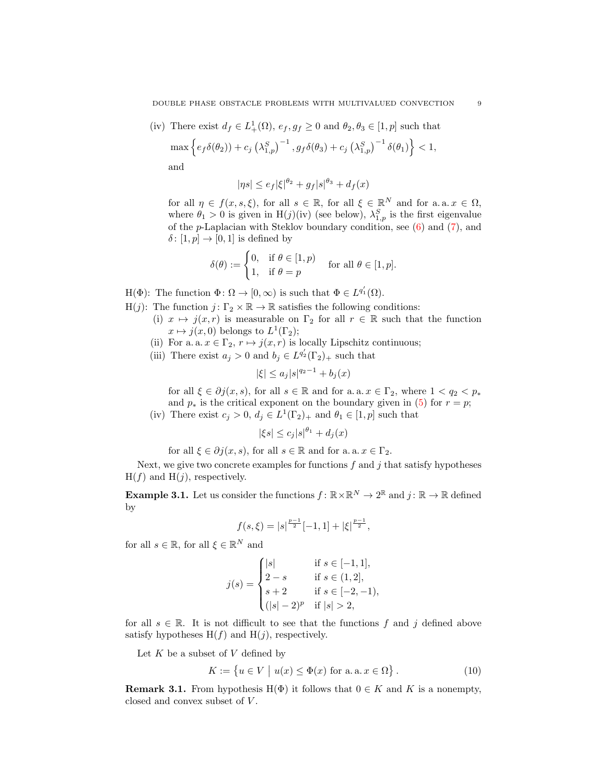DOUBLE PHASE OBSTACLE PROBLEMS WITH MULTIVALUED CONVECTION 9

(iv) There exist  $d_f \in L^1_+(\Omega)$ ,  $e_f, g_f \geq 0$  and  $\theta_2, \theta_3 \in [1, p]$  such that

$$
\max \left\{ e_f \delta(\theta_2) + c_j \left( \lambda_{1,p}^S \right)^{-1}, g_f \delta(\theta_3) + c_j \left( \lambda_{1,p}^S \right)^{-1} \delta(\theta_1) \right\} < 1,
$$

and

$$
|\eta s| \le e_f |\xi|^{\theta_2} + g_f |s|^{\theta_3} + d_f(x)
$$

for all  $\eta \in f(x, s, \xi)$ , for all  $s \in \mathbb{R}$ , for all  $\xi \in \mathbb{R}^N$  and for a.a.  $x \in \Omega$ , where  $\theta_1 > 0$  is given in H(j)(iv) (see below),  $\lambda_{1,p}^S$  is the first eigenvalue of the p-Laplacian with Steklov boundary condition, see [\(6\)](#page-4-1) and [\(7\)](#page-4-4), and  $\delta \colon [1, p] \to [0, 1]$  is defined by

$$
\delta(\theta) := \begin{cases} 0, & \text{if } \theta \in [1, p) \\ 1, & \text{if } \theta = p \end{cases} \quad \text{for all } \theta \in [1, p].
$$

- $H(\Phi)$ : The function  $\Phi \colon \Omega \to [0, \infty)$  is such that  $\Phi \in L^{q'_1}(\Omega)$ .
- H(j): The function  $j: \Gamma_2 \times \mathbb{R} \to \mathbb{R}$  satisfies the following conditions:
	- (i)  $x \mapsto j(x, r)$  is measurable on  $\Gamma_2$  for all  $r \in \mathbb{R}$  such that the function  $x \mapsto j(x, 0)$  belongs to  $L^1(\Gamma_2)$ ;
	- (ii) For a. a.  $x \in \Gamma_2$ ,  $r \mapsto j(x,r)$  is locally Lipschitz continuous;
	- (iii) There exist  $a_j > 0$  and  $b_j \in L^{q'_2}(\Gamma_2)_+$  such that

$$
|\xi| \le a_j |s|^{q_2 - 1} + b_j(x)
$$

for all  $\xi \in \partial j(x, s)$ , for all  $s \in \mathbb{R}$  and for a. a.  $x \in \Gamma_2$ , where  $1 < q_2 < p_*$ and  $p_*$  is the critical exponent on the boundary given in [\(5\)](#page-4-3) for  $r = p$ ; (iv) There exist  $c_j > 0$ ,  $d_j \in L^1(\Gamma_2)_+$  and  $\theta_1 \in [1, p]$  such that

$$
|\xi s| \le c_j |s|^{\theta_1} + d_j(x)
$$

for all  $\xi \in \partial j(x, s)$ , for all  $s \in \mathbb{R}$  and for a. a.  $x \in \Gamma_2$ .

Next, we give two concrete examples for functions  $f$  and  $j$  that satisfy hypotheses  $H(f)$  and  $H(j)$ , respectively.

**Example 3.1.** Let us consider the functions  $f: \mathbb{R} \times \mathbb{R}^N \to 2^{\mathbb{R}}$  and  $j: \mathbb{R} \to \mathbb{R}$  defined by

$$
f(s,\xi) = |s|^{\frac{p-1}{2}} [-1,1] + |\xi|^{\frac{p-1}{2}},
$$

for all  $s \in \mathbb{R}$ , for all  $\xi \in \mathbb{R}^N$  and

$$
j(s) = \begin{cases} |s| & \text{if } s \in [-1, 1], \\ 2 - s & \text{if } s \in (1, 2], \\ s + 2 & \text{if } s \in [-2, -1), \\ (|s| - 2)^p & \text{if } |s| > 2, \end{cases}
$$

for all  $s \in \mathbb{R}$ . It is not difficult to see that the functions f and j defined above satisfy hypotheses  $H(f)$  and  $H(j)$ , respectively.

Let  $K$  be a subset of  $V$  defined by

<span id="page-8-0"></span>
$$
K := \{ u \in V \mid u(x) \le \Phi(x) \text{ for a. a. } x \in \Omega \}.
$$
 (10)

<span id="page-8-1"></span>**Remark 3.1.** From hypothesis H( $\Phi$ ) it follows that  $0 \in K$  and K is a nonempty, closed and convex subset of  $V$ .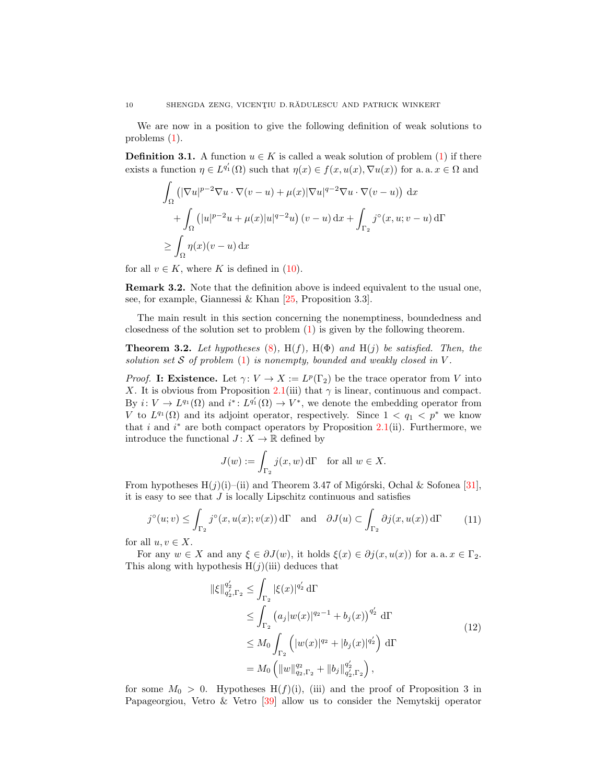We are now in a position to give the following definition of weak solutions to problems [\(1\)](#page-1-0).

**Definition 3.1.** A function  $u \in K$  is called a weak solution of problem [\(1\)](#page-1-0) if there exists a function  $\eta \in L^{q'_1}(\Omega)$  such that  $\eta(x) \in f(x, u(x), \nabla u(x))$  for a. a.  $x \in \Omega$  and

$$
\int_{\Omega} \left( |\nabla u|^{p-2} \nabla u \cdot \nabla (v - u) + \mu(x) |\nabla u|^{q-2} \nabla u \cdot \nabla (v - u) \right) dx
$$
  
+ 
$$
\int_{\Omega} \left( |u|^{p-2} u + \mu(x) |u|^{q-2} u \right) (v - u) dx + \int_{\Gamma_2} j^{\circ}(x, u; v - u) d\Gamma
$$
  

$$
\geq \int_{\Omega} \eta(x) (v - u) dx
$$

for all  $v \in K$ , where K is defined in [\(10\)](#page-8-0).

Remark 3.2. Note that the definition above is indeed equivalent to the usual one, see, for example, Giannessi & Khan [\[25,](#page-23-24) Proposition 3.3].

The main result in this section concerning the nonemptiness, boundedness and closedness of the solution set to problem [\(1\)](#page-1-0) is given by the following theorem.

<span id="page-9-0"></span>**Theorem 3.2.** Let hypotheses [\(8\)](#page-4-2),  $H(f)$ ,  $H(\Phi)$  and  $H(j)$  be satisfied. Then, the solution set  $S$  of problem  $(1)$  is nonempty, bounded and weakly closed in  $V$ .

*Proof.* I: Existence. Let  $\gamma: V \to X := L^p(\Gamma_2)$  be the trace operator from V into X. It is obvious from Proposition [2.1\(](#page-5-0)iii) that  $\gamma$  is linear, continuous and compact. By  $i: V \to L^{q_1}(\Omega)$  and  $i^*: L^{q'_1}(\Omega) \to V^*$ , we denote the embedding operator from V to  $L^{q_1}(\Omega)$  and its adjoint operator, respectively. Since  $1 < q_1 < p^*$  we know that i and  $i^*$  are both compact operators by Proposition [2.1\(](#page-5-0)ii). Furthermore, we introduce the functional  $J: X \to \mathbb{R}$  defined by

<span id="page-9-1"></span>
$$
J(w) := \int_{\Gamma_2} j(x, w) d\Gamma \quad \text{for all } w \in X.
$$

From hypotheses  $H(j)(i)$ –(ii) and Theorem 3.47 of Migórski, Ochal & Sofonea [\[31\]](#page-23-22), it is easy to see that  $J$  is locally Lipschitz continuous and satisfies

$$
j^{\circ}(u;v) \leq \int_{\Gamma_2} j^{\circ}(x, u(x); v(x)) d\Gamma \quad \text{and} \quad \partial J(u) \subset \int_{\Gamma_2} \partial j(x, u(x)) d\Gamma \tag{11}
$$

for all  $u, v \in X$ .

For any  $w \in X$  and any  $\xi \in \partial J(w)$ , it holds  $\xi(x) \in \partial j(x, u(x))$  for a. a.  $x \in \Gamma_2$ . This along with hypothesis  $H(j)(iii)$  deduces that

<span id="page-9-2"></span>
$$
\|\xi\|_{q_2',\Gamma_2}^{q_2'} \le \int_{\Gamma_2} |\xi(x)|^{q_2'} d\Gamma
$$
  
\n
$$
\le \int_{\Gamma_2} (a_j|w(x)|^{q_2-1} + b_j(x))^{q_2'} d\Gamma
$$
  
\n
$$
\le M_0 \int_{\Gamma_2} (|w(x)|^{q_2} + |b_j(x)|^{q_2'}) d\Gamma
$$
  
\n
$$
= M_0 \left( \|w\|_{q_2,\Gamma_2}^{q_2} + \|b_j\|_{q_2',\Gamma_2}^{q_2'} \right),
$$
\n(12)

for some  $M_0 > 0$ . Hypotheses  $H(f)(i)$ , (iii) and the proof of Proposition 3 in Papageorgiou, Vetro & Vetro [\[39\]](#page-23-25) allow us to consider the Nemytskij operator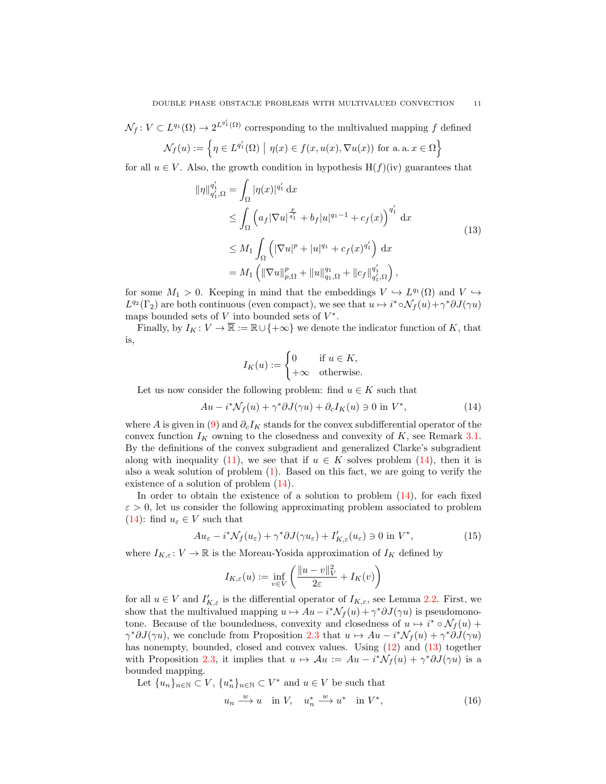$\mathcal{N}_f: V \subset L^{q_1}(\Omega) \to 2^{L^{q'_1}(\Omega)}$  corresponding to the multivalued mapping f defined  $\overline{\Omega}$ 

$$
\mathcal{N}_f(u) := \left\{ \eta \in L^{q'_1}(\Omega) \mid \eta(x) \in f(x, u(x), \nabla u(x)) \text{ for a. a. } x \in \Omega \right\}
$$

for all  $u \in V$ . Also, the growth condition in hypothesis  $H(f)(iv)$  guarantees that

$$
\|\eta\|_{q_1',\Omega}^{q_1'} = \int_{\Omega} |\eta(x)|^{q_1'} dx
$$
  
\n
$$
\leq \int_{\Omega} \left( a_f |\nabla u|^{\frac{p}{q_1'}} + b_f |u|^{q_1-1} + c_f(x) \right)^{q_1'} dx
$$
  
\n
$$
\leq M_1 \int_{\Omega} \left( |\nabla u|^p + |u|^{q_1} + c_f(x)^{q_1'} \right) dx
$$
  
\n
$$
= M_1 \left( \|\nabla u\|_{p,\Omega}^p + \|u\|_{q_1,\Omega}^{q_1} + \|c_f\|_{q_1',\Omega}^{q_1'} \right),
$$
\n(13)

for some  $M_1 > 0$ . Keeping in mind that the embeddings  $V \hookrightarrow L^{q_1}(\Omega)$  and  $V \hookrightarrow$  $L^{q_2}(\Gamma_2)$  are both continuous (even compact), we see that  $u \mapsto i^* \circ \mathcal{N}_f(u) + \gamma^* \partial J(\gamma u)$ maps bounded sets of  $V$  into bounded sets of  $V^*$ .

Finally, by  $I_K: V \to \overline{\mathbb{R}} := \mathbb{R} \cup \{+\infty\}$  we denote the indicator function of K, that is,

<span id="page-10-0"></span>
$$
I_K(u) := \begin{cases} 0 & \text{if } u \in K, \\ +\infty & \text{otherwise.} \end{cases}
$$

Let us now consider the following problem: find  $u \in K$  such that

$$
Au - i^*\mathcal{N}_f(u) + \gamma^*\partial J(\gamma u) + \partial_c I_K(u) \ni 0 \text{ in } V^*,\tag{14}
$$

where A is given in [\(9\)](#page-6-0) and  $\partial_c I_K$  stands for the convex subdifferential operator of the convex function  $I_K$  owning to the closedness and convexity of K, see Remark [3.1.](#page-8-1) By the definitions of the convex subgradient and generalized Clarke's subgradient along with inequality [\(11\)](#page-9-1), we see that if  $u \in K$  solves problem [\(14\)](#page-10-0), then it is also a weak solution of problem  $(1)$ . Based on this fact, we are going to verify the existence of a solution of problem [\(14\)](#page-10-0).

In order to obtain the existence of a solution to problem [\(14\)](#page-10-0), for each fixed  $\varepsilon > 0$ , let us consider the following approximating problem associated to problem [\(14\)](#page-10-0): find  $u_{\varepsilon} \in V$  such that

$$
Au_{\varepsilon} - i^* \mathcal{N}_f(u_{\varepsilon}) + \gamma^* \partial J(\gamma u_{\varepsilon}) + I'_{K,\varepsilon}(u_{\varepsilon}) \ni 0 \text{ in } V^*,\tag{15}
$$

where  $I_{K,\varepsilon}: V \to \mathbb{R}$  is the Moreau-Yosida approximation of  $I_K$  defined by

<span id="page-10-3"></span>
$$
I_{K,\varepsilon}(u) := \inf_{v \in V} \left( \frac{\|u - v\|_V^2}{2\varepsilon} + I_K(v) \right)
$$

for all  $u \in V$  and  $I'_{K,\varepsilon}$  is the differential operator of  $I_{K,\varepsilon}$ , see Lemma [2.2.](#page-7-1) First, we show that the multivalued mapping  $u \mapsto Au - i^* \mathcal{N}_f(u) + \gamma^* \partial J(\gamma u)$  is pseudomonotone. Because of the boundedness, convexity and closedness of  $u \mapsto i^* \circ \mathcal{N}_f(u)$  +  $\gamma^* \partial J(\gamma u)$ , we conclude from Proposition [2.3](#page-6-1) that  $u \mapsto Au - i^* \mathcal{N}_f(u) + \gamma^* \partial J(\gamma u)$ has nonempty, bounded, closed and convex values. Using  $(12)$  and  $(13)$  together with Proposition [2.3,](#page-6-1) it implies that  $u \mapsto Au := Au - i^*\mathcal{N}_f(u) + \gamma^*\partial J(\gamma u)$  is a bounded mapping.

Let  ${u_n}_{n\in\mathbb{N}} \subset V$ ,  ${u_n^*}_{n\in\mathbb{N}} \subset V^*$  and  $u \in V$  be such that

<span id="page-10-2"></span>
$$
u_n \xrightarrow{w} u \quad \text{in } V, \quad u_n^* \xrightarrow{w} u^* \quad \text{in } V^*, \tag{16}
$$

<span id="page-10-1"></span>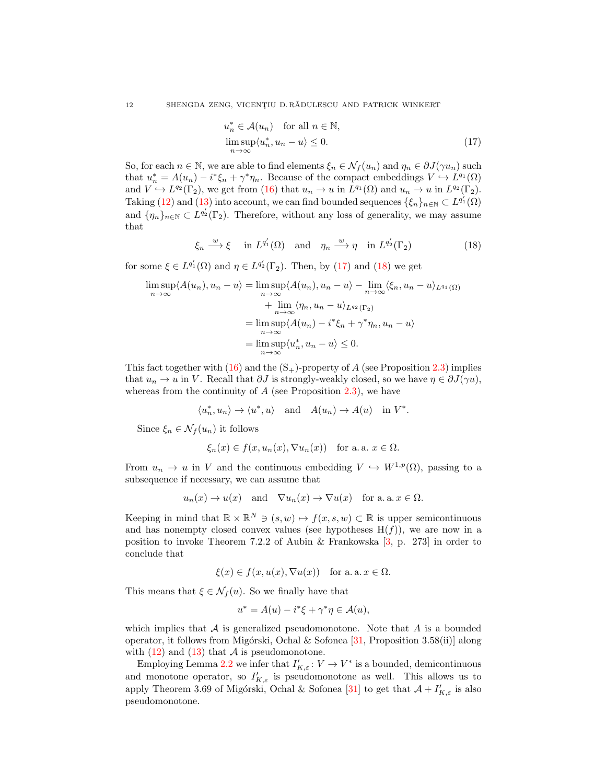<span id="page-11-1"></span><span id="page-11-0"></span>
$$
u_n^* \in \mathcal{A}(u_n) \quad \text{for all } n \in \mathbb{N},
$$
  

$$
\limsup_{n \to \infty} \langle u_n^*, u_n - u \rangle \le 0.
$$
 (17)

So, for each  $n \in \mathbb{N}$ , we are able to find elements  $\xi_n \in \mathcal{N}_f(u_n)$  and  $\eta_n \in \partial J(\gamma u_n)$  such that  $u_n^* = A(u_n) - i^* \xi_n + \gamma^* \eta_n$ . Because of the compact embeddings  $V \hookrightarrow L^{q_1}(\Omega)$ and  $V \hookrightarrow L^{q_2}(\Gamma_2)$ , we get from [\(16\)](#page-10-2) that  $u_n \to u$  in  $L^{q_1}(\Omega)$  and  $u_n \to u$  in  $L^{q_2}(\Gamma_2)$ . Taking [\(12\)](#page-9-2) and [\(13\)](#page-10-1) into account, we can find bounded sequences  $\{\xi_n\}_{n\in\mathbb{N}}\subset L^{q_1'}(\Omega)$ and  $\{\eta_n\}_{n\in\mathbb{N}}\subset L^{q'_2}(\Gamma_2)$ . Therefore, without any loss of generality, we may assume that

$$
\xi_n \xrightarrow{w} \xi \quad \text{in } L^{q'_1}(\Omega) \quad \text{and} \quad \eta_n \xrightarrow{w} \eta \quad \text{in } L^{q'_2}(\Gamma_2) \tag{18}
$$

for some  $\xi \in L^{q'_1}(\Omega)$  and  $\eta \in L^{q'_2}(\Gamma_2)$ . Then, by [\(17\)](#page-11-0) and [\(18\)](#page-11-1) we get

$$
\limsup_{n \to \infty} \langle A(u_n), u_n - u \rangle = \limsup_{n \to \infty} \langle A(u_n), u_n - u \rangle - \lim_{n \to \infty} \langle \xi_n, u_n - u \rangle_{L^{q_1}(\Omega)}
$$
  
+ 
$$
\lim_{n \to \infty} \langle \eta_n, u_n - u \rangle_{L^{q_2}(\Gamma_2)}
$$
  
= 
$$
\limsup_{n \to \infty} \langle A(u_n) - i^* \xi_n + \gamma^* \eta_n, u_n - u \rangle
$$
  
= 
$$
\limsup_{n \to \infty} \langle u_n^*, u_n - u \rangle \leq 0.
$$

This fact together with  $(16)$  and the  $(S_{+})$ -property of A (see Proposition [2.3\)](#page-6-1) implies that  $u_n \to u$  in V. Recall that  $\partial J$  is strongly-weakly closed, so we have  $\eta \in \partial J(\gamma u)$ , whereas from the continuity of  $A$  (see Proposition [2.3\)](#page-6-1), we have

$$
\langle u_n^*, u_n \rangle \to \langle u^*, u \rangle \quad \text{and} \quad A(u_n) \to A(u) \quad \text{in $V^*$}.
$$

Since  $\xi_n \in \mathcal{N}_f(u_n)$  it follows

$$
\xi_n(x) \in f(x, u_n(x), \nabla u_n(x))
$$
 for a. a.  $x \in \Omega$ .

From  $u_n \to u$  in V and the continuous embedding  $V \hookrightarrow W^{1,p}(\Omega)$ , passing to a subsequence if necessary, we can assume that

$$
u_n(x) \to u(x)
$$
 and  $\nabla u_n(x) \to \nabla u(x)$  for a. a.  $x \in \Omega$ .

Keeping in mind that  $\mathbb{R} \times \mathbb{R}^N \ni (s, w) \mapsto f(x, s, w) \subset \mathbb{R}$  is upper semicontinuous and has nonempty closed convex values (see hypotheses  $H(f)$ ), we are now in a position to invoke Theorem 7.2.2 of Aubin & Frankowska [\[3,](#page-22-23) p. 273] in order to conclude that

$$
\xi(x) \in f(x, u(x), \nabla u(x))
$$
 for a.a.  $x \in \Omega$ .

This means that  $\xi \in \mathcal{N}_f(u)$ . So we finally have that

$$
u^* = A(u) - i^*\xi + \gamma^*\eta \in \mathcal{A}(u),
$$

which implies that  $A$  is generalized pseudomonotone. Note that  $A$  is a bounded operator, it follows from Migórski, Ochal & Sofonea  $[31,$  Proposition 3.58(ii)] along with  $(12)$  and  $(13)$  that A is pseudomonotone.

Employing Lemma [2.2](#page-7-1) we infer that  $I'_{K,\varepsilon}: V \to V^*$  is a bounded, demicontinuous and monotone operator, so  $I'_{K,\varepsilon}$  is pseudomonotone as well. This allows us to apply Theorem 3.69 of Migórski, Ochal & Sofonea [\[31\]](#page-23-22) to get that  $\mathcal{A} + I'_{K,\varepsilon}$  is also pseudomonotone.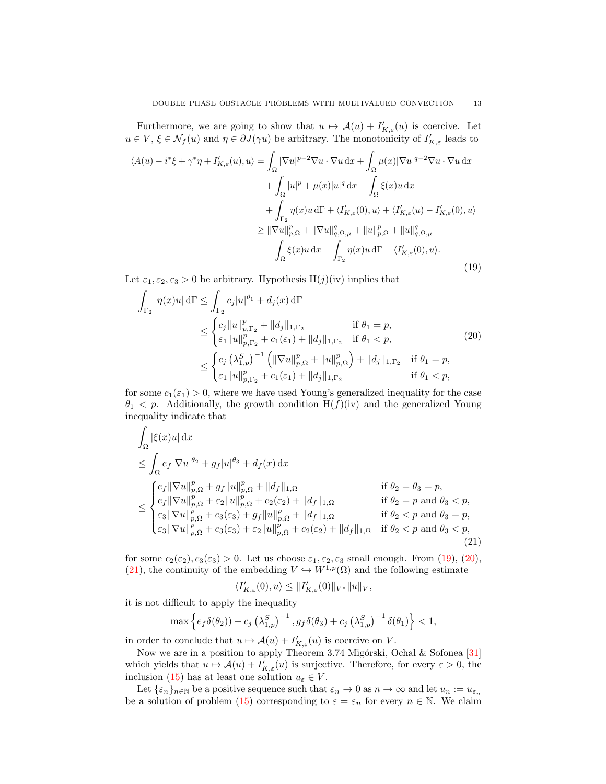Furthermore, we are going to show that  $u \mapsto \mathcal{A}(u) + I'_{K,\varepsilon}(u)$  is coercive. Let  $u \in V$ ,  $\xi \in \mathcal{N}_f(u)$  and  $\eta \in \partial J(\gamma u)$  be arbitrary. The monotonicity of  $I'_{K,\varepsilon}$  leads to

<span id="page-12-0"></span>
$$
\langle A(u) - i^*\xi + \gamma^*\eta + I'_{K,\varepsilon}(u), u \rangle = \int_{\Omega} |\nabla u|^{p-2} \nabla u \cdot \nabla u \, dx + \int_{\Omega} \mu(x) |\nabla u|^{q-2} \nabla u \cdot \nabla u \, dx + \int_{\Omega} |u|^p + \mu(x) |u|^q \, dx - \int_{\Omega} \xi(x) u \, dx + \int_{\Gamma_2} \eta(x) u \, d\Gamma + \langle I'_{K,\varepsilon}(0), u \rangle + \langle I'_{K,\varepsilon}(u) - I'_{K,\varepsilon}(0), u \rangle \geq \| \nabla u \|_{p,\Omega}^p + \| \nabla u \|_{q,\Omega,\mu}^q + \| u \|_{p,\Omega}^p + \| u \|_{q,\Omega,\mu}^q - \int_{\Omega} \xi(x) u \, dx + \int_{\Gamma_2} \eta(x) u \, d\Gamma + \langle I'_{K,\varepsilon}(0), u \rangle.
$$
\n(19)

Let  $\varepsilon_1, \varepsilon_2, \varepsilon_3 > 0$  be arbitrary. Hypothesis H(j)(iv) implies that

<span id="page-12-1"></span>
$$
\int_{\Gamma_2} |\eta(x)u| d\Gamma \le \int_{\Gamma_2} c_j |u|^{\theta_1} + d_j(x) d\Gamma
$$
\n
$$
\le \begin{cases}\n c_j \|u\|_{p,\Gamma_2}^p + \|d_j\|_{1,\Gamma_2} & \text{if } \theta_1 = p, \\
 \varepsilon_1 \|u\|_{p,\Gamma_2}^p + c_1(\varepsilon_1) + \|d_j\|_{1,\Gamma_2} & \text{if } \theta_1 < p,\n\end{cases}
$$
\n
$$
\le \begin{cases}\n c_j \left(\lambda_{1,p}^S\right)^{-1} \left( \|\nabla u\|_{p,\Omega}^p + \|u\|_{p,\Omega}^p \right) + \|d_j\|_{1,\Gamma_2} & \text{if } \theta_1 = p, \\
 \varepsilon_1 \|u\|_{p,\Gamma_2}^p + c_1(\varepsilon_1) + \|d_j\|_{1,\Gamma_2} & \text{if } \theta_1 < p,\n\end{cases}
$$
\n(20)

for some  $c_1(\epsilon_1) > 0$ , where we have used Young's generalized inequality for the case  $\theta_1$  < p. Additionally, the growth condition H(f)(iv) and the generalized Young inequality indicate that

$$
\int_{\Omega} |\xi(x)u| dx
$$
\n
$$
\leq \int_{\Omega} e_f |\nabla u|^{q_2} + g_f |u|^{q_3} + d_f(x) dx
$$
\n
$$
\leq \int_{\Omega} e_f |\nabla u|_{p,\Omega}^p + g_f |u|_{p,\Omega}^p + ||d_f||_{1,\Omega} \quad \text{if } \theta_2 = \theta_3 = p,
$$
\n
$$
\leq \begin{cases} e_f ||\nabla u||_{p,\Omega}^p + g_f ||u||_{p,\Omega}^p + ||d_f||_{1,\Omega} & \text{if } \theta_2 = p \text{ and } \theta_3 < p, \\ \varepsilon_3 ||\nabla u||_{p,\Omega}^p + c_3(\varepsilon_3) + g_f ||u||_{p,\Omega}^p + ||d_f||_{1,\Omega} & \text{if } \theta_2 < p \text{ and } \theta_3 = p, \\ \varepsilon_3 ||\nabla u||_{p,\Omega}^p + c_3(\varepsilon_3) + \varepsilon_2 ||u||_{p,\Omega}^p + c_2(\varepsilon_2) + ||d_f||_{1,\Omega} & \text{if } \theta_2 < p \text{ and } \theta_3 < p, \\ \varepsilon_3 ||\nabla u||_{p,\Omega}^p + c_3(\varepsilon_3) + \varepsilon_2 ||u||_{p,\Omega}^p + c_2(\varepsilon_2) + ||d_f||_{1,\Omega} & \text{if } \theta_2 < p \text{ and } \theta_3 < p, \end{cases} \tag{21}
$$

for some  $c_2(\varepsilon_2), c_3(\varepsilon_3) > 0$ . Let us choose  $\varepsilon_1, \varepsilon_2, \varepsilon_3$  small enough. From [\(19\)](#page-12-0), [\(20\)](#page-12-1), [\(21\)](#page-12-2), the continuity of the embedding  $V \hookrightarrow W^{1,p}(\Omega)$  and the following estimate

<span id="page-12-2"></span>
$$
\langle I_{K,\varepsilon}'(0),u\rangle\leq\|I_{K,\varepsilon}'(0)\|_{V^\ast}\|u\|_V,
$$

it is not difficult to apply the inequality

$$
\max \left\{ e_f \delta(\theta_2) + c_j \left( \lambda_{1,p}^S \right)^{-1}, g_f \delta(\theta_3) + c_j \left( \lambda_{1,p}^S \right)^{-1} \delta(\theta_1) \right\} < 1,
$$

in order to conclude that  $u \mapsto \mathcal{A}(u) + I'_{K,\varepsilon}(u)$  is coercive on V.

Now we are in a position to apply Theorem 3.74 Migórski, Ochal & Sofonea [\[31\]](#page-23-22) which yields that  $u \mapsto \mathcal{A}(u) + I'_{K,\varepsilon}(u)$  is surjective. Therefore, for every  $\varepsilon > 0$ , the inclusion [\(15\)](#page-10-3) has at least one solution  $u_{\varepsilon} \in V$ .

Let  $\{\varepsilon_n\}_{n\in\mathbb{N}}$  be a positive sequence such that  $\varepsilon_n\to 0$  as  $n\to\infty$  and let  $u_n:=u_{\varepsilon_n}$ be a solution of problem [\(15\)](#page-10-3) corresponding to  $\varepsilon = \varepsilon_n$  for every  $n \in \mathbb{N}$ . We claim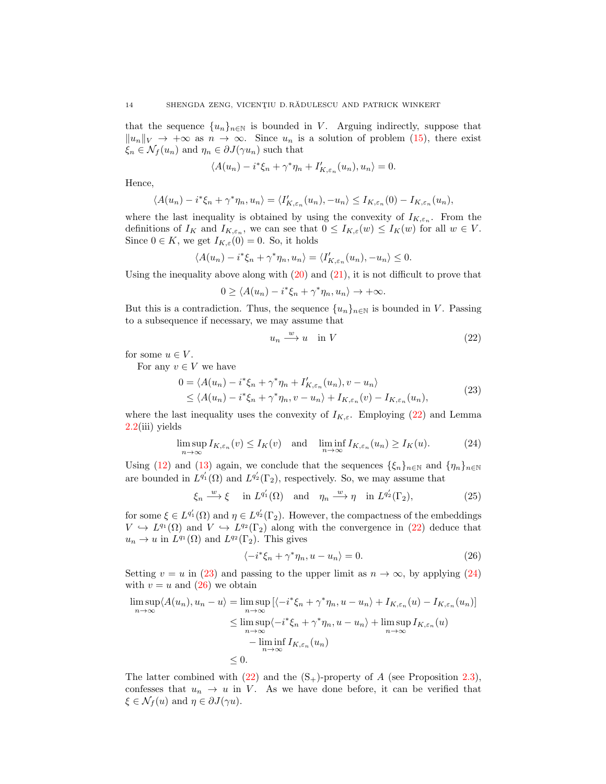that the sequence  $\{u_n\}_{n\in\mathbb{N}}$  is bounded in V. Arguing indirectly, suppose that  $||u_n||_V \rightarrow +\infty$  as  $n \rightarrow \infty$ . Since  $u_n$  is a solution of problem [\(15\)](#page-10-3), there exist  $\xi_n \in \mathcal{N}_f(u_n)$  and  $\eta_n \in \partial J(\gamma u_n)$  such that

$$
\langle A(u_n) - i^*\xi_n + \gamma^*\eta_n + I'_{K,\varepsilon_n}(u_n), u_n \rangle = 0.
$$

Hence,

$$
\langle A(u_n) - i^*\xi_n + \gamma^*\eta_n, u_n \rangle = \langle I'_{K,\varepsilon_n}(u_n), -u_n \rangle \leq I_{K,\varepsilon_n}(0) - I_{K,\varepsilon_n}(u_n),
$$

where the last inequality is obtained by using the convexity of  $I_{K,\varepsilon_n}$ . From the definitions of  $I_K$  and  $I_{K,\varepsilon_n}$ , we can see that  $0 \leq I_{K,\varepsilon}(w) \leq I_K(w)$  for all  $w \in V$ . Since  $0 \in K$ , we get  $I_{K,\varepsilon}(0) = 0$ . So, it holds

$$
\langle A(u_n) - i^*\xi_n + \gamma^*\eta_n, u_n \rangle = \langle I'_{K,\varepsilon_n}(u_n), -u_n \rangle \leq 0.
$$

Using the inequality above along with  $(20)$  and  $(21)$ , it is not difficult to prove that

$$
0 \ge \langle A(u_n) - i^* \xi_n + \gamma^* \eta_n, u_n \rangle \to +\infty.
$$

But this is a contradiction. Thus, the sequence  $\{u_n\}_{n\in\mathbb{N}}$  is bounded in V. Passing to a subsequence if necessary, we may assume that

<span id="page-13-2"></span><span id="page-13-1"></span><span id="page-13-0"></span>
$$
u_n \xrightarrow{w} u \quad \text{in } V \tag{22}
$$

for some  $u \in V$ .

For any  $v \in V$  we have

$$
0 = \langle A(u_n) - i^*\xi_n + \gamma^*\eta_n + I'_{K,\varepsilon_n}(u_n), v - u_n \rangle
$$
  
\$\leq \langle A(u\_n) - i^\*\xi\_n + \gamma^\*\eta\_n, v - u\_n \rangle + I\_{K,\varepsilon\_n}(v) - I\_{K,\varepsilon\_n}(u\_n),\$ (23)

where the last inequality uses the convexity of  $I_{K,\varepsilon}$ . Employing [\(22\)](#page-13-0) and Lemma [2.2\(](#page-7-1)iii) yields

$$
\limsup_{n \to \infty} I_{K,\varepsilon_n}(v) \le I_K(v) \quad \text{and} \quad \liminf_{n \to \infty} I_{K,\varepsilon_n}(u_n) \ge I_K(u). \tag{24}
$$

Using [\(12\)](#page-9-2) and [\(13\)](#page-10-1) again, we conclude that the sequences  $\{\xi_n\}_{n\in\mathbb{N}}$  and  $\{\eta_n\}_{n\in\mathbb{N}}$ are bounded in  $L^{q'_1}(\Omega)$  and  $L^{q'_2}(\Gamma_2)$ , respectively. So, we may assume that

$$
\xi_n \xrightarrow{w} \xi \quad \text{in } L^{q'_1}(\Omega) \quad \text{and} \quad \eta_n \xrightarrow{w} \eta \quad \text{in } L^{q'_2}(\Gamma_2), \tag{25}
$$

for some  $\xi \in L^{q'_1}(\Omega)$  and  $\eta \in L^{q'_2}(\Gamma_2)$ . However, the compactness of the embeddings  $V \hookrightarrow L^{q_1}(\Omega)$  and  $V \hookrightarrow L^{q_2}(\Gamma_2)$  along with the convergence in [\(22\)](#page-13-0) deduce that  $u_n \to u$  in  $L^{q_1}(\Omega)$  and  $L^{q_2}(\Gamma_2)$ . This gives

<span id="page-13-4"></span><span id="page-13-3"></span>
$$
\langle -i^*\xi_n + \gamma^*\eta_n, u - u_n \rangle = 0. \tag{26}
$$

Setting  $v = u$  in [\(23\)](#page-13-1) and passing to the upper limit as  $n \to \infty$ , by applying [\(24\)](#page-13-2) with  $v = u$  and  $(26)$  we obtain

$$
\limsup_{n \to \infty} \langle A(u_n), u_n - u \rangle = \limsup_{n \to \infty} \left[ \langle -i^* \xi_n + \gamma^* \eta_n, u - u_n \rangle + I_{K, \varepsilon_n}(u) - I_{K, \varepsilon_n}(u_n) \right]
$$
  
\n
$$
\leq \limsup_{n \to \infty} \langle -i^* \xi_n + \gamma^* \eta_n, u - u_n \rangle + \limsup_{n \to \infty} I_{K, \varepsilon_n}(u)
$$
  
\n
$$
- \liminf_{n \to \infty} I_{K, \varepsilon_n}(u_n)
$$
  
\n
$$
\leq 0.
$$

The latter combined with [\(22\)](#page-13-0) and the  $(S<sub>+</sub>)$ -property of A (see Proposition [2.3\)](#page-6-1), confesses that  $u_n \to u$  in V. As we have done before, it can be verified that  $\xi \in \mathcal{N}_f(u)$  and  $\eta \in \partial J(\gamma u)$ .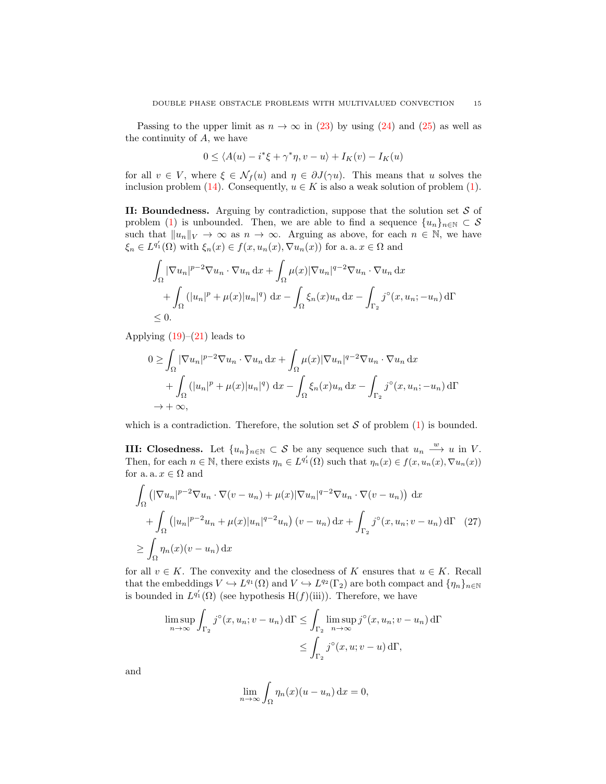Passing to the upper limit as  $n \to \infty$  in [\(23\)](#page-13-1) by using [\(24\)](#page-13-2) and [\(25\)](#page-13-4) as well as the continuity of A, we have

$$
0 \le \langle A(u) - i^* \xi + \gamma^* \eta, v - u \rangle + I_K(v) - I_K(u)
$$

for all  $v \in V$ , where  $\xi \in \mathcal{N}_f(u)$  and  $\eta \in \partial J(\gamma u)$ . This means that u solves the inclusion problem [\(14\)](#page-10-0). Consequently,  $u \in K$  is also a weak solution of problem [\(1\)](#page-1-0).

II: Boundedness. Arguing by contradiction, suppose that the solution set  $S$  of problem [\(1\)](#page-1-0) is unbounded. Then, we are able to find a sequence  $\{u_n\}_{n\in\mathbb{N}}\subset\mathcal{S}$ such that  $||u_n||_V \to \infty$  as  $n \to \infty$ . Arguing as above, for each  $n \in \mathbb{N}$ , we have  $\xi_n \in L^{q'_1}(\Omega)$  with  $\xi_n(x) \in f(x, u_n(x), \nabla u_n(x))$  for a. a.  $x \in \Omega$  and

$$
\int_{\Omega} |\nabla u_n|^{p-2} \nabla u_n \cdot \nabla u_n \, dx + \int_{\Omega} \mu(x) |\nabla u_n|^{q-2} \nabla u_n \cdot \nabla u_n \, dx \n+ \int_{\Omega} (|u_n|^p + \mu(x)|u_n|^q) \, dx - \int_{\Omega} \xi_n(x) u_n \, dx - \int_{\Gamma_2} j^\circ(x, u_n; -u_n) \, d\Gamma \n\leq 0.
$$

Applying  $(19)$ – $(21)$  leads to

$$
0 \geq \int_{\Omega} |\nabla u_n|^{p-2} \nabla u_n \cdot \nabla u_n \, dx + \int_{\Omega} \mu(x) |\nabla u_n|^{q-2} \nabla u_n \cdot \nabla u_n \, dx
$$

$$
+ \int_{\Omega} (|u_n|^p + \mu(x)|u_n|^q) \, dx - \int_{\Omega} \xi_n(x) u_n \, dx - \int_{\Gamma_2} j^\circ(x, u_n; -u_n) \, d\Gamma
$$

$$
\to +\infty,
$$

which is a contradiction. Therefore, the solution set  $S$  of problem [\(1\)](#page-1-0) is bounded.

**III:** Closedness. Let  $\{u_n\}_{n\in\mathbb{N}}\subset\mathcal{S}$  be any sequence such that  $u_n \stackrel{w}{\longrightarrow} u$  in V. Then, for each  $n \in \mathbb{N}$ , there exists  $\eta_n \in L^{q'_1}(\Omega)$  such that  $\eta_n(x) \in f(x, u_n(x), \nabla u_n(x))$ for a. a.  $x\in\Omega$  and

$$
\int_{\Omega} \left( |\nabla u_n|^{p-2} \nabla u_n \cdot \nabla (v - u_n) + \mu(x) |\nabla u_n|^{q-2} \nabla u_n \cdot \nabla (v - u_n) \right) dx
$$
\n
$$
+ \int_{\Omega} \left( |u_n|^{p-2} u_n + \mu(x) |u_n|^{q-2} u_n \right) (v - u_n) dx + \int_{\Gamma_2} j^\circ(x, u_n; v - u_n) d\Gamma \quad (27)
$$
\n
$$
\geq \int_{\Omega} \eta_n(x) (v - u_n) dx
$$

for all  $v \in K$ . The convexity and the closedness of K ensures that  $u \in K$ . Recall that the embeddings  $V \hookrightarrow L^{q_1}(\Omega)$  and  $V \hookrightarrow L^{q_2}(\Gamma_2)$  are both compact and  $\{\eta_n\}_{n\in\mathbb{N}}$ is bounded in  $L^{q'_1}(\Omega)$  (see hypothesis H(f)(iii)). Therefore, we have

$$
\limsup_{n \to \infty} \int_{\Gamma_2} j^{\circ}(x, u_n; v - u_n) d\Gamma \le \int_{\Gamma_2} \limsup_{n \to \infty} j^{\circ}(x, u_n; v - u_n) d\Gamma
$$
  

$$
\le \int_{\Gamma_2} j^{\circ}(x, u; v - u) d\Gamma,
$$

and

<span id="page-14-0"></span>
$$
\lim_{n \to \infty} \int_{\Omega} \eta_n(x) (u - u_n) \, \mathrm{d}x = 0,
$$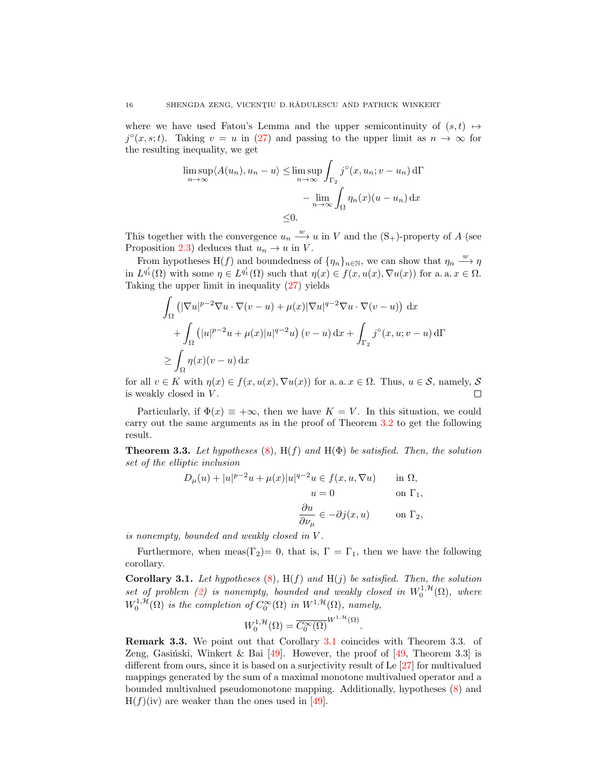where we have used Fatou's Lemma and the upper semicontinuity of  $(s, t) \mapsto$  $j^{\circ}(x, s; t)$ . Taking  $v = u$  in [\(27\)](#page-14-0) and passing to the upper limit as  $n \to \infty$  for the resulting inequality, we get

$$
\limsup_{n \to \infty} \langle A(u_n), u_n - u \rangle \le \limsup_{n \to \infty} \int_{\Gamma_2} j^{\circ}(x, u_n; v - u_n) d\Gamma
$$

$$
- \lim_{n \to \infty} \int_{\Omega} \eta_n(x) (u - u_n) dx
$$

$$
\le 0.
$$

This together with the convergence  $u_n \stackrel{w}{\longrightarrow} u$  in V and the  $(S_+)$ -property of A (see Proposition [2.3\)](#page-6-1) deduces that  $u_n \to u$  in V.

From hypotheses H(f) and boundedness of  $\{\eta_n\}_{n\in\mathbb{N}}$ , we can show that  $\eta_n \stackrel{w}{\longrightarrow} \eta$ in  $L^{q'_1}(\Omega)$  with some  $\eta \in L^{q'_1}(\Omega)$  such that  $\eta(x) \in f(x, u(x), \nabla u(x))$  for a. a.  $x \in \Omega$ . Taking the upper limit in inequality [\(27\)](#page-14-0) yields

$$
\int_{\Omega} \left( |\nabla u|^{p-2} \nabla u \cdot \nabla (v - u) + \mu(x) |\nabla u|^{q-2} \nabla u \cdot \nabla (v - u) \right) dx
$$
  
+ 
$$
\int_{\Omega} \left( |u|^{p-2} u + \mu(x) |u|^{q-2} u \right) (v - u) dx + \int_{\Gamma_2} j^{\circ}(x, u; v - u) d\Gamma
$$
  

$$
\geq \int_{\Omega} \eta(x) (v - u) dx
$$

for all  $v \in K$  with  $\eta(x) \in f(x, u(x), \nabla u(x))$  for a. a.  $x \in \Omega$ . Thus,  $u \in \mathcal{S}$ , namely,  $\mathcal{S}$ is weakly closed in  $V$ . П

Particularly, if  $\Phi(x) \equiv +\infty$ , then we have  $K = V$ . In this situation, we could carry out the same arguments as in the proof of Theorem [3.2](#page-9-0) to get the following result.

**Theorem 3.3.** Let hypotheses [\(8\)](#page-4-2),  $H(f)$  and  $H(\Phi)$  be satisfied. Then, the solution set of the elliptic inclusion

$$
D_{\mu}(u) + |u|^{p-2}u + \mu(x)|u|^{q-2}u \in f(x, u, \nabla u) \quad \text{in } \Omega,
$$
  
\n
$$
u = 0 \quad \text{on } \Gamma_1,
$$
  
\n
$$
\frac{\partial u}{\partial \nu_{\mu}} \in -\partial j(x, u) \quad \text{on } \Gamma_2,
$$

is nonempty, bounded and weakly closed in V .

Furthermore, when meas( $\Gamma_2$ ) = 0, that is,  $\Gamma = \Gamma_1$ , then we have the following corollary.

<span id="page-15-0"></span>**Corollary 3.1.** Let hypotheses  $(8)$ , H(f) and H(j) be satisfied. Then, the solution set of problem [\(2\)](#page-2-2) is nonempty, bounded and weakly closed in  $W_0^{1, H}(\Omega)$ , where  $W_0^{1,\mathcal{H}}(\Omega)$  is the completion of  $C_0^{\infty}(\Omega)$  in  $W^{1,\mathcal{H}}(\Omega)$ , namely,

$$
W_0^{1,\mathcal{H}}(\Omega) = \overline{C_0^{\infty}(\Omega)}^{W^{1,\mathcal{H}}(\Omega)}
$$

.

Remark 3.3. We point out that Corollary [3.1](#page-15-0) coincides with Theorem 3.3. of Zeng, Gasiński, Winkert & Bai  $[49]$ . However, the proof of  $[49]$ , Theorem 3.3] is different from ours, since it is based on a surjectivity result of Le [\[27\]](#page-23-26) for multivalued mappings generated by the sum of a maximal monotone multivalued operator and a bounded multivalued pseudomonotone mapping. Additionally, hypotheses [\(8\)](#page-4-2) and  $H(f)(iv)$  are weaker than the ones used in [\[49\]](#page-23-2).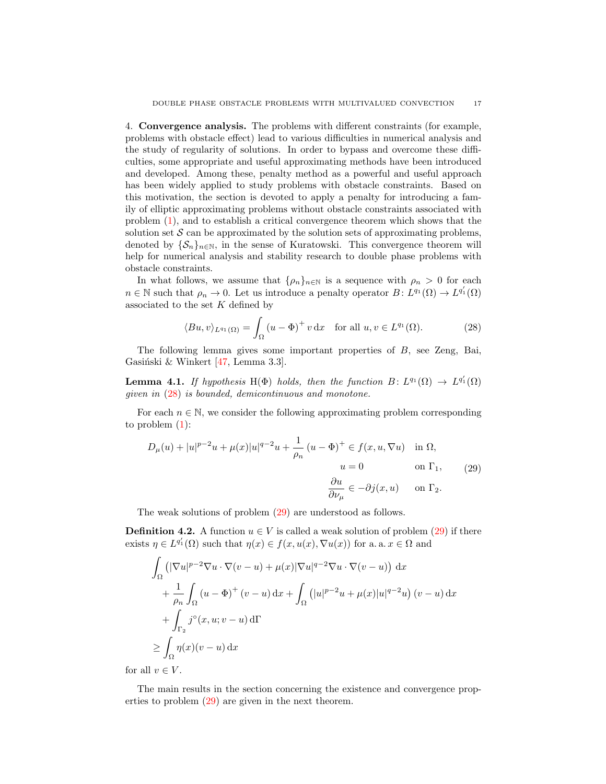<span id="page-16-0"></span>4. Convergence analysis. The problems with different constraints (for example, problems with obstacle effect) lead to various difficulties in numerical analysis and the study of regularity of solutions. In order to bypass and overcome these difficulties, some appropriate and useful approximating methods have been introduced and developed. Among these, penalty method as a powerful and useful approach has been widely applied to study problems with obstacle constraints. Based on this motivation, the section is devoted to apply a penalty for introducing a family of elliptic approximating problems without obstacle constraints associated with problem [\(1\)](#page-1-0), and to establish a critical convergence theorem which shows that the solution set  $\mathcal S$  can be approximated by the solution sets of approximating problems, denoted by  $\{\mathcal{S}_n\}_{n\in\mathbb{N}}$ , in the sense of Kuratowski. This convergence theorem will help for numerical analysis and stability research to double phase problems with obstacle constraints.

In what follows, we assume that  $\{\rho_n\}_{n\in\mathbb{N}}$  is a sequence with  $\rho_n > 0$  for each  $n \in \mathbb{N}$  such that  $\rho_n \to 0$ . Let us introduce a penalty operator  $B: L^{q_1}(\Omega) \to L^{q'_1}(\Omega)$ associated to the set  $K$  defined by

<span id="page-16-1"></span>
$$
\langle Bu, v \rangle_{L^{q_1}(\Omega)} = \int_{\Omega} \left( u - \Phi \right)^+ v \, \mathrm{d}x \quad \text{for all } u, v \in L^{q_1}(\Omega). \tag{28}
$$

The following lemma gives some important properties of B, see Zeng, Bai, Gasiński & Winkert  $[47, \text{Lemma } 3.3]$ .

<span id="page-16-3"></span>**Lemma 4.1.** If hypothesis H( $\Phi$ ) holds, then the function  $B: L^{q_1}(\Omega) \to L^{q'_1}(\Omega)$ given in [\(28\)](#page-16-1) is bounded, demicontinuous and monotone.

For each  $n \in \mathbb{N}$ , we consider the following approximating problem corresponding to problem [\(1\)](#page-1-0):

<span id="page-16-2"></span>
$$
D_{\mu}(u) + |u|^{p-2}u + \mu(x)|u|^{q-2}u + \frac{1}{\rho_n}(u - \Phi)^+ \in f(x, u, \nabla u) \quad \text{in } \Omega,
$$
  
\n
$$
u = 0 \qquad \text{on } \Gamma_1,
$$
  
\n
$$
\frac{\partial u}{\partial \nu_{\mu}} \in -\partial j(x, u) \qquad \text{on } \Gamma_2.
$$
  
\n(29)

The weak solutions of problem [\(29\)](#page-16-2) are understood as follows.

**Definition 4.2.** A function  $u \in V$  is called a weak solution of problem [\(29\)](#page-16-2) if there exists  $\eta \in L^{q'_1}(\Omega)$  such that  $\eta(x) \in f(x, u(x), \nabla u(x))$  for a. a.  $x \in \Omega$  and

$$
\int_{\Omega} \left( |\nabla u|^{p-2} \nabla u \cdot \nabla (v - u) + \mu(x) |\nabla u|^{q-2} \nabla u \cdot \nabla (v - u) \right) dx
$$
\n
$$
+ \frac{1}{\rho_n} \int_{\Omega} (u - \Phi)^+ (v - u) dx + \int_{\Omega} (|u|^{p-2} u + \mu(x)|u|^{q-2} u) (v - u) dx
$$
\n
$$
+ \int_{\Gamma_2} j^{\circ}(x, u; v - u) d\Gamma
$$
\n
$$
\geq \int_{\Omega} \eta(x)(v - u) dx
$$

for all  $v \in V$ .

The main results in the section concerning the existence and convergence properties to problem [\(29\)](#page-16-2) are given in the next theorem.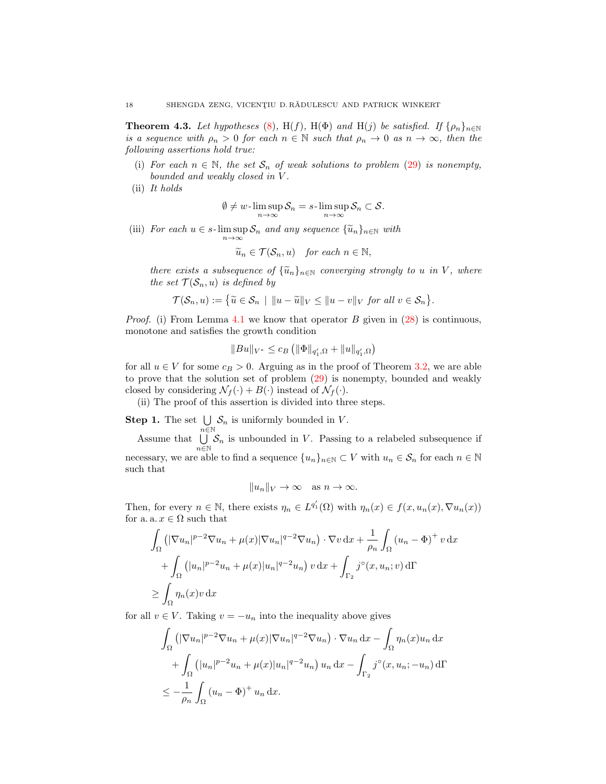<span id="page-17-0"></span>**Theorem 4.3.** Let hypotheses [\(8\)](#page-4-2), H(f), H( $\Phi$ ) and H(j) be satisfied. If  $\{\rho_n\}_{n\in\mathbb{N}}$ is a sequence with  $\rho_n > 0$  for each  $n \in \mathbb{N}$  such that  $\rho_n \to 0$  as  $n \to \infty$ , then the following assertions hold true:

(i) For each  $n \in \mathbb{N}$ , the set  $S_n$  of weak solutions to problem [\(29\)](#page-16-2) is nonempty, bounded and weakly closed in V .

(ii) It holds

$$
\emptyset\neq w\hbox{-}\limsup_{n\to\infty}\mathcal{S}_n=s\hbox{-}\limsup_{n\to\infty}\mathcal{S}_n\subset\mathcal{S}.
$$

(iii) For each  $u \in s$ - $\limsup_{n \to \infty} S_n$  and any sequence  $\{\widetilde{u}_n\}_{n \in \mathbb{N}}$  with

$$
\widetilde{u}_n \in \mathcal{T}(\mathcal{S}_n, u) \quad \text{for each } n \in \mathbb{N},
$$

there exists a subsequence of  $\{\widetilde{u}_n\}_{n\in\mathbb{N}}$  converging strongly to u in V, where the set  $\mathcal{T}(\mathcal{S}_n, u)$  is defined by

$$
\mathcal{T}(\mathcal{S}_n, u) := \left\{ \widetilde{u} \in \mathcal{S}_n \mid ||u - \widetilde{u}||_V \le ||u - v||_V \text{ for all } v \in \mathcal{S}_n \right\}.
$$

*Proof.* (i) From Lemma [4.1](#page-16-3) we know that operator B given in  $(28)$  is continuous, monotone and satisfies the growth condition

$$
||Bu||_{V^*} \leq c_B \left( ||\Phi||_{q'_1,\Omega} + ||u||_{q'_1,\Omega} \right)
$$

for all  $u \in V$  for some  $c_B > 0$ . Arguing as in the proof of Theorem [3.2,](#page-9-0) we are able to prove that the solution set of problem [\(29\)](#page-16-2) is nonempty, bounded and weakly closed by considering  $\mathcal{N}_f(\cdot) + B(\cdot)$  instead of  $\mathcal{N}_f(\cdot)$ .

(ii) The proof of this assertion is divided into three steps.

**Step 1.** The set  $\bigcup \mathcal{S}_n$  is uniformly bounded in V.  $n \breve{\in} \mathbb{N}$ 

Assume that  $\bigcup$  $\bigcup_{n\in\mathbb{N}}\mathcal{S}_n$  is unbounded in V. Passing to a relabeled subsequence if necessary, we are able to find a sequence  ${u_n}_{n\in\mathbb{N}}\subset V$  with  $u_n\in\mathcal{S}_n$  for each  $n\in\mathbb{N}$ such that

$$
||u_n||_V \to \infty \quad \text{as } n \to \infty.
$$

Then, for every  $n \in \mathbb{N}$ , there exists  $\eta_n \in L^{q'_1}(\Omega)$  with  $\eta_n(x) \in f(x, u_n(x), \nabla u_n(x))$ for a. a.  $x \in \Omega$  such that

$$
\int_{\Omega} \left( |\nabla u_n|^{p-2} \nabla u_n + \mu(x) |\nabla u_n|^{q-2} \nabla u_n \right) \cdot \nabla v \, dx + \frac{1}{\rho_n} \int_{\Omega} (u_n - \Phi)^+ v \, dx
$$

$$
+ \int_{\Omega} \left( |u_n|^{p-2} u_n + \mu(x) |u_n|^{q-2} u_n \right) v \, dx + \int_{\Gamma_2} j^{\circ}(x, u_n; v) \, d\Gamma
$$

$$
\geq \int_{\Omega} \eta_n(x) v \, dx
$$

for all  $v \in V$ . Taking  $v = -u_n$  into the inequality above gives

$$
\int_{\Omega} \left( |\nabla u_n|^{p-2} \nabla u_n + \mu(x) |\nabla u_n|^{q-2} \nabla u_n \right) \cdot \nabla u_n \, dx - \int_{\Omega} \eta_n(x) u_n \, dx
$$

$$
+ \int_{\Omega} \left( |u_n|^{p-2} u_n + \mu(x) |u_n|^{q-2} u_n \right) u_n \, dx - \int_{\Gamma_2} j^\circ(x, u_n; -u_n) \, d\Gamma
$$

$$
\leq -\frac{1}{\rho_n} \int_{\Omega} (u_n - \Phi)^+ u_n \, dx.
$$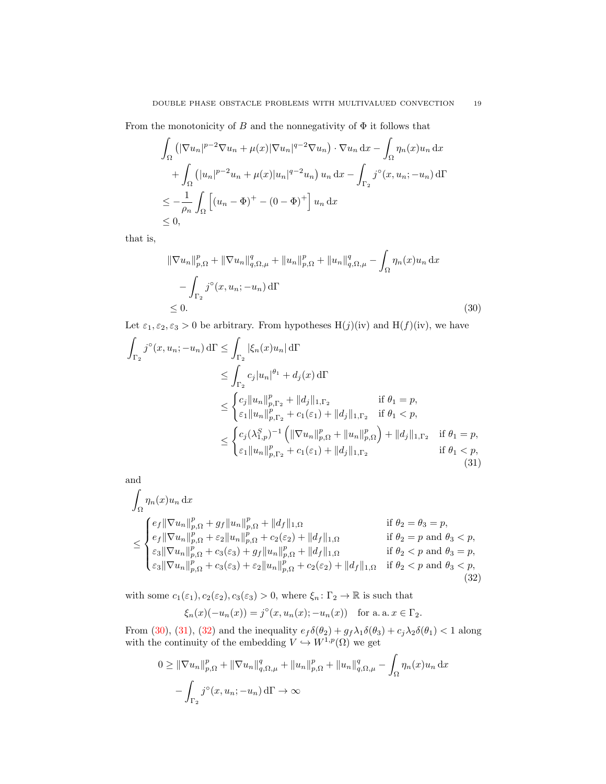From the monotonicity of B and the nonnegativity of  $\Phi$  it follows that

$$
\int_{\Omega} \left( |\nabla u_n|^{p-2} \nabla u_n + \mu(x) |\nabla u_n|^{q-2} \nabla u_n \right) \cdot \nabla u_n \, dx - \int_{\Omega} \eta_n(x) u_n \, dx
$$

$$
+ \int_{\Omega} \left( |u_n|^{p-2} u_n + \mu(x) |u_n|^{q-2} u_n \right) u_n \, dx - \int_{\Gamma_2} j^\circ(x, u_n; -u_n) \, d\Gamma
$$

$$
\leq -\frac{1}{\rho_n} \int_{\Omega} \left[ (u_n - \Phi)^+ - (0 - \Phi)^+ \right] u_n \, dx
$$

$$
\leq 0,
$$

that is,

<span id="page-18-0"></span>
$$
\|\nabla u_n\|_{p,\Omega}^p + \|\nabla u_n\|_{q,\Omega,\mu}^q + \|u_n\|_{p,\Omega}^p + \|u_n\|_{q,\Omega,\mu}^q - \int_{\Omega} \eta_n(x)u_n \,dx
$$
  

$$
- \int_{\Gamma_2} j^\circ(x, u_n; -u_n) \,d\Gamma
$$
  

$$
\leq 0.
$$
 (30)

Let  $\varepsilon_1, \varepsilon_2, \varepsilon_3 > 0$  be arbitrary. From hypotheses  $H(j)(iv)$  and  $H(f)(iv)$ , we have

$$
\int_{\Gamma_2} j^{\circ}(x, u_n; -u_n) d\Gamma \leq \int_{\Gamma_2} |\xi_n(x)u_n| d\Gamma
$$
\n
$$
\leq \int_{\Gamma_2} c_j |u_n|^{\theta_1} + d_j(x) d\Gamma
$$
\n
$$
\leq \begin{cases} c_j ||u_n||_{p, \Gamma_2}^p + ||d_j||_{1, \Gamma_2} & \text{if } \theta_1 = p, \\ \varepsilon_1 ||u_n||_{p, \Gamma_2}^p + c_1(\varepsilon_1) + ||d_j||_{1, \Gamma_2} & \text{if } \theta_1 < p, \\ \varepsilon_2 ||u_n||_{p, \Gamma_2}^p + c_1(\varepsilon_1) + ||d_j||_{1, \Gamma_2} & \text{if } \theta_1 = p, \\ \varepsilon_1 ||u_n||_{p, \Gamma_2}^p + c_1(\varepsilon_1) + ||d_j||_{1, \Gamma_2} & \text{if } \theta_1 < p, \\ \varepsilon_1 ||u_n||_{p, \Gamma_2}^p + c_1(\varepsilon_1) + ||d_j||_{1, \Gamma_2} & \text{if } \theta_1 < p, \end{cases}
$$
\n(31)

and

$$
\int_{\Omega} \eta_n(x) u_n \, dx
$$
\n
$$
\leq \begin{cases}\n e_f \|\nabla u_n\|_{p,\Omega}^p + g_f \|u_n\|_{p,\Omega}^p + \|d_f\|_{1,\Omega} & \text{if } \theta_2 = \theta_3 = p, \\
 e_f \|\nabla u_n\|_{p,\Omega}^p + \varepsilon_2 \|u_n\|_{p,\Omega}^p + c_2(\varepsilon_2) + \|d_f\|_{1,\Omega} & \text{if } \theta_2 = p \text{ and } \theta_3 < p, \\
\varepsilon_3 \|\nabla u_n\|_{p,\Omega}^p + c_3(\varepsilon_3) + g_f \|u_n\|_{p,\Omega}^p + \|d_f\|_{1,\Omega} & \text{if } \theta_2 < p \text{ and } \theta_3 = p, \\
\varepsilon_3 \|\nabla u_n\|_{p,\Omega}^p + c_3(\varepsilon_3) + \varepsilon_2 \|u_n\|_{p,\Omega}^p + c_2(\varepsilon_2) + \|d_f\|_{1,\Omega} & \text{if } \theta_2 < p \text{ and } \theta_3 < p, \\
(32)\n\end{cases}
$$

with some  $c_1(\varepsilon_1),c_2(\varepsilon_2),c_3(\varepsilon_3)>0,$  where  $\xi_n\colon\Gamma_2\to\mathbb{R}$  is such that

<span id="page-18-2"></span><span id="page-18-1"></span>
$$
\xi_n(x)(-u_n(x)) = j^{\circ}(x, u_n(x); -u_n(x)) \text{ for a. a. } x \in \Gamma_2.
$$

From [\(30\)](#page-18-0), [\(31\)](#page-18-1), [\(32\)](#page-18-2) and the inequality  $e_f \delta(\theta_2) + g_f \lambda_1 \delta(\theta_3) + c_j \lambda_2 \delta(\theta_1) < 1$  along with the continuity of the embedding  $V \hookrightarrow W^{1,p}(\Omega)$  we get

$$
0 \geq \|\nabla u_n\|_{p,\Omega}^p + \|\nabla u_n\|_{q,\Omega,\mu}^q + \|u_n\|_{p,\Omega}^p + \|u_n\|_{q,\Omega,\mu}^q - \int_{\Omega} \eta_n(x)u_n \,dx - \int_{\Gamma_2} j^\circ(x, u_n; -u_n) \,d\Gamma \to \infty
$$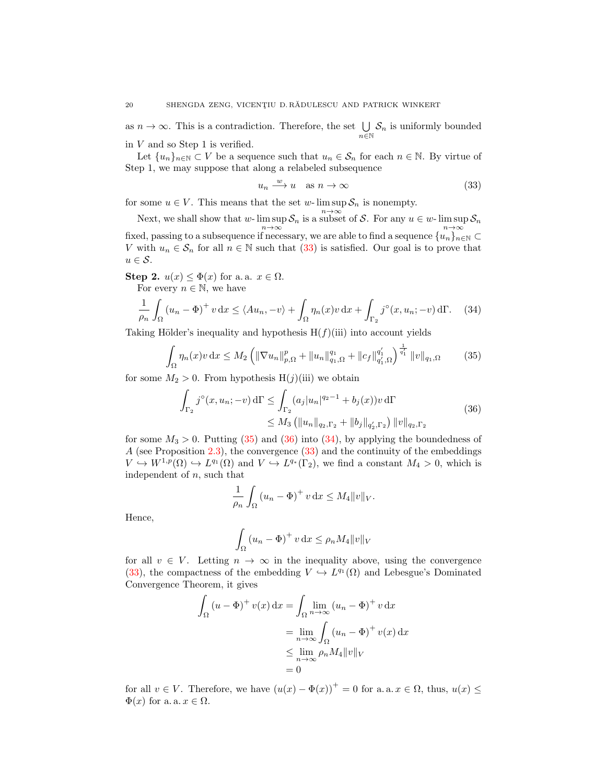as  $n \to \infty$ . This is a contradiction. Therefore, the set  $\bigcup$  $\bigcup_{n\in\mathbb{N}}\mathcal{S}_n$  is uniformly bounded in  $V$  and so Step 1 is verified.

Let  $\{u_n\}_{n\in\mathbb{N}}\subset V$  be a sequence such that  $u_n\in\mathcal{S}_n$  for each  $n\in\mathbb{N}$ . By virtue of Step 1, we may suppose that along a relabeled subsequence

<span id="page-19-3"></span><span id="page-19-1"></span><span id="page-19-0"></span>
$$
u_n \xrightarrow{w} u \quad \text{as } n \to \infty \tag{33}
$$

for some  $u \in V$ . This means that the set w-  $\limsup S_n$  is nonempty.

Next, we shall show that w- lim sup  $S_n$  is a subset of S. For any  $u \in w$ - lim sup  $S_n$ fixed, passing to a subsequence if necessary, we are able to find a sequence  $\{u_n\}_{n\in\mathbb{N}}\subset$ V with  $u_n \in \mathcal{S}_n$  for all  $n \in \mathbb{N}$  such that  $(33)$  is satisfied. Our goal is to prove that  $u \in \mathcal{S}$ .

Step 2.  $u(x) \leq \Phi(x)$  for a. a.  $x \in \Omega$ . For every  $n \in \mathbb{N}$ , we have

$$
\frac{1}{\rho_n} \int_{\Omega} \left( u_n - \Phi \right)^+ v \, dx \le \langle Au_n, -v \rangle + \int_{\Omega} \eta_n(x) v \, dx + \int_{\Gamma_2} j^{\circ}(x, u_n; -v) \, d\Gamma. \tag{34}
$$

Taking Hölder's inequality and hypothesis  $H(f)(iii)$  into account yields

$$
\int_{\Omega} \eta_n(x)v \, dx \le M_2 \left( \|\nabla u_n\|_{p,\Omega}^p + \|u_n\|_{q_1,\Omega}^{q_1} + \|c_f\|_{q_1,\Omega}^{q_1'} \right)^{\frac{1}{q_1'}} \|v\|_{q_1,\Omega} \tag{35}
$$

for some  $M_2 > 0$ . From hypothesis H(j)(iii) we obtain

$$
\int_{\Gamma_2} j^{\circ}(x, u_n; -v) d\Gamma \le \int_{\Gamma_2} (a_j |u_n|^{q_2 - 1} + b_j(x)) v d\Gamma
$$
\n
$$
\le M_3 \left( \|u_n\|_{q_2, \Gamma_2} + \|b_j\|_{q'_2, \Gamma_2} \right) \|v\|_{q_2, \Gamma_2}
$$
\n(36)

for some  $M_3 > 0$ . Putting [\(35\)](#page-19-1) and [\(36\)](#page-19-2) into [\(34\)](#page-19-3), by applying the boundedness of A (see Proposition [2.3\)](#page-6-1), the convergence [\(33\)](#page-19-0) and the continuity of the embeddings  $V \hookrightarrow W^{1,p}(\Omega) \hookrightarrow L^{q_1}(\Omega)$  and  $V \hookrightarrow L^{q_*}(\Gamma_2)$ , we find a constant  $M_4 > 0$ , which is independent of  $n$ , such that

<span id="page-19-2"></span>
$$
\frac{1}{\rho_n} \int_{\Omega} \left( u_n - \Phi \right)^+ v \, \mathrm{d}x \le M_4 \|v\|_V.
$$

Hence,

$$
\int_{\Omega} (u_n - \Phi)^+ v \, dx \le \rho_n M_4 \|v\|_V
$$

for all  $v \in V$ . Letting  $n \to \infty$  in the inequality above, using the convergence [\(33\)](#page-19-0), the compactness of the embedding  $V \hookrightarrow L^{q_1}(\Omega)$  and Lebesgue's Dominated Convergence Theorem, it gives

$$
\int_{\Omega} (u - \Phi)^{+} v(x) dx = \int_{\Omega} \lim_{n \to \infty} (u_{n} - \Phi)^{+} v dx
$$

$$
= \lim_{n \to \infty} \int_{\Omega} (u_{n} - \Phi)^{+} v(x) dx
$$

$$
\leq \lim_{n \to \infty} \rho_{n} M_{4} ||v||_{V}
$$

$$
= 0
$$

for all  $v \in V$ . Therefore, we have  $(u(x) - \Phi(x))^+ = 0$  for a. a.  $x \in \Omega$ , thus,  $u(x) \leq$  $\Phi(x)$  for a. a.  $x \in \Omega$ .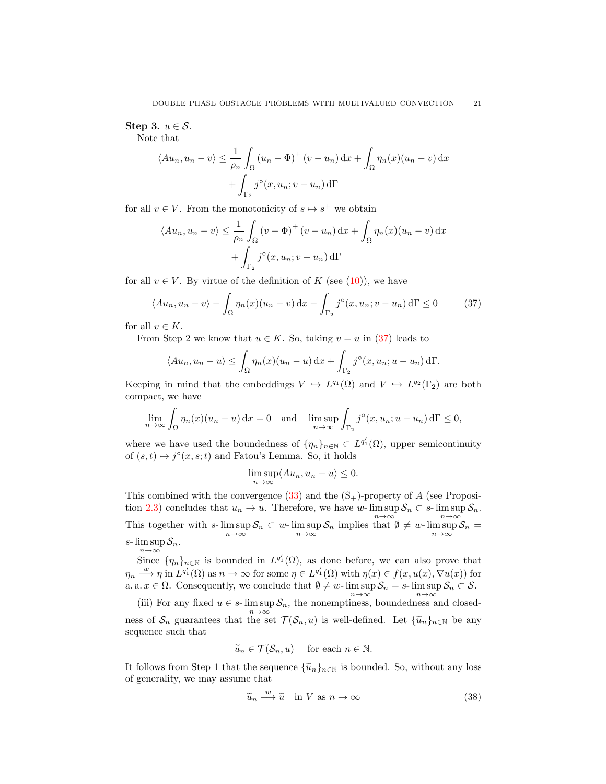# Step 3.  $u \in \mathcal{S}$ .

Note that

$$
\langle Au_n, u_n - v \rangle \le \frac{1}{\rho_n} \int_{\Omega} (u_n - \Phi)^+ (v - u_n) \, dx + \int_{\Omega} \eta_n(x) (u_n - v) \, dx
$$

$$
+ \int_{\Gamma_2} j^\circ(x, u_n; v - u_n) \, d\Gamma
$$

for all  $v \in V$ . From the monotonicity of  $s \mapsto s^+$  we obtain

$$
\langle Au_n, u_n - v \rangle \le \frac{1}{\rho_n} \int_{\Omega} (v - \Phi)^+ (v - u_n) \,dx + \int_{\Omega} \eta_n(x) (u_n - v) \,dx
$$

$$
+ \int_{\Gamma_2} j^\circ(x, u_n; v - u_n) \,d\Gamma
$$

for all  $v \in V$ . By virtue of the definition of K (see [\(10\)](#page-8-0)), we have

$$
\langle Au_n, u_n - v \rangle - \int_{\Omega} \eta_n(x) (u_n - v) \, dx - \int_{\Gamma_2} j^\circ(x, u_n; v - u_n) \, d\Gamma \le 0 \tag{37}
$$

for all  $v \in K$ .

From Step 2 we know that  $u \in K$ . So, taking  $v = u$  in [\(37\)](#page-20-0) leads to

$$
\langle Au_n, u_n - u \rangle \leq \int_{\Omega} \eta_n(x) (u_n - u) dx + \int_{\Gamma_2} j^{\circ}(x, u_n; u - u_n) d\Gamma.
$$

Keeping in mind that the embeddings  $V \hookrightarrow L^{q_1}(\Omega)$  and  $V \hookrightarrow L^{q_2}(\Gamma_2)$  are both compact, we have

$$
\lim_{n \to \infty} \int_{\Omega} \eta_n(x) (u_n - u) \, dx = 0 \quad \text{and} \quad \limsup_{n \to \infty} \int_{\Gamma_2} j^\circ(x, u_n; u - u_n) \, d\Gamma \le 0,
$$

where we have used the boundedness of  $\{\eta_n\}_{n\in\mathbb{N}}\subset L^{q'_1}(\Omega)$ , upper semicontinuity of  $(s,t) \mapsto j^{\circ}(x,s;t)$  and Fatou's Lemma. So, it holds

<span id="page-20-0"></span>
$$
\limsup_{n \to \infty} \langle Au_n, u_n - u \rangle \le 0.
$$

This combined with the convergence  $(33)$  and the  $(S<sub>+</sub>)$ -property of A (see Proposi-tion [2.3\)](#page-6-1) concludes that  $u_n \to u$ . Therefore, we have w-lim sup  $S_n \subset s$ -lim sup  $S_n$ . This together with  $s$ -  $\limsup_{n\to\infty} S_n \subset w$ -  $\limsup_{n\to\infty} S_n$  implies that  $\emptyset \neq w$ -  $\limsup_{n\to\infty} S_n =$ s- $\limsup S_n$ .  $n{\rightarrow}\infty$ 

Since  $\{\eta_n\}_{n\in\mathbb{N}}$  is bounded in  $L^{q'_1}(\Omega)$ , as done before, we can also prove that  $\eta_n \stackrel{w}{\longrightarrow} \eta$  in  $L^{q'_1}(\Omega)$  as  $n \to \infty$  for some  $\eta \in L^{q'_1}(\Omega)$  with  $\eta(x) \in f(x, u(x), \nabla u(x))$  for a. a.  $x \in \Omega$ . Consequently, we conclude that  $\emptyset \neq w$ -  $\limsup_{n \to \infty} S_n = s$ -  $\limsup_{n \to \infty} S_n \subset S$ .

(iii) For any fixed  $u \in s$ - lim sup  $S_n$ , the nonemptiness, boundedness and closedness of  $S_n$  guarantees that the set  $\mathcal{T}(\mathcal{S}_n, u)$  is well-defined. Let  $\{\widetilde{u}_n\}_{n \in \mathbb{N}}$  be any sequence such that

$$
\widetilde{u}_n \in \mathcal{T}(\mathcal{S}_n, u)
$$
 for each  $n \in \mathbb{N}$ .

It follows from Step 1 that the sequence  $\{\widetilde{u}_n\}_{n\in\mathbb{N}}$  is bounded. So, without any loss of generality, we may assume that

<span id="page-20-1"></span>
$$
\widetilde{u}_n \xrightarrow{w} \widetilde{u} \quad \text{in } V \text{ as } n \to \infty \tag{38}
$$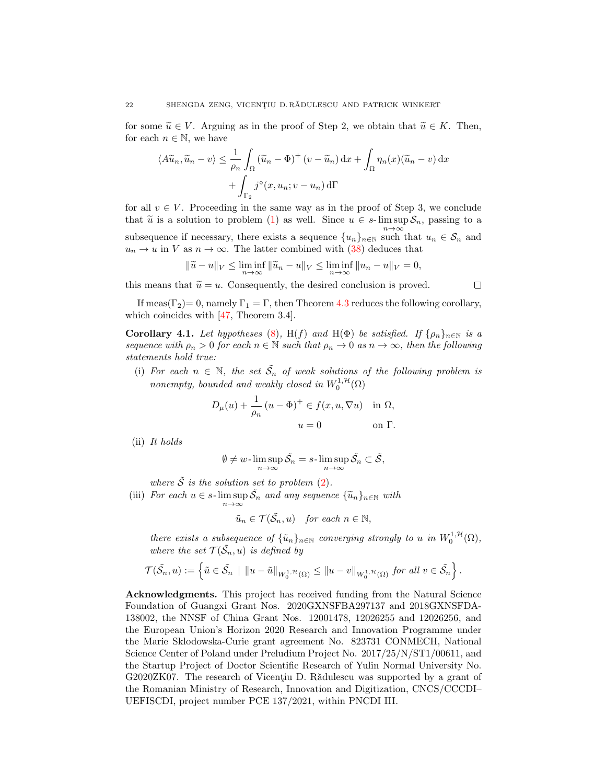for some  $\widetilde{u} \in V$ . Arguing as in the proof of Step 2, we obtain that  $\widetilde{u} \in K$ . Then, for each  $n \in \mathbb{N}$ , we have

$$
\langle A\widetilde{u}_n, \widetilde{u}_n - v \rangle \le \frac{1}{\rho_n} \int_{\Omega} (\widetilde{u}_n - \Phi)^+ (v - \widetilde{u}_n) \, dx + \int_{\Omega} \eta_n(x) (\widetilde{u}_n - v) \, dx
$$

$$
+ \int_{\Gamma_2} j^\circ(x, u_n; v - u_n) \, d\Gamma
$$

for all  $v \in V$ . Proceeding in the same way as in the proof of Step 3, we conclude that  $\tilde{u}$  is a solution to problem [\(1\)](#page-1-0) as well. Since  $u \in s$ - lim sup  $S_n$ , passing to a  $n\rightarrow\infty$ subsequence if necessary, there exists a sequence  $\{u_n\}_{n\in\mathbb{N}}$  such that  $u_n \in \mathcal{S}_n$  and  $u_n \to u$  in V as  $n \to \infty$ . The latter combined with [\(38\)](#page-20-1) deduces that

$$
\|\widetilde{u} - u\|_{V} \le \liminf_{n \to \infty} \|\widetilde{u}_n - u\|_{V} \le \liminf_{n \to \infty} \|u_n - u\|_{V} = 0,
$$

this means that  $\tilde{u} = u$ . Consequently, the desired conclusion is proved.

 $\Box$ 

If meas( $\Gamma_2$ ) = 0, namely  $\Gamma_1 = \Gamma$ , then Theorem [4.3](#page-17-0) reduces the following corollary, which coincides with [\[47,](#page-23-27) Theorem 3.4].

**Corollary 4.1.** Let hypotheses [\(8\)](#page-4-2), H(f) and H( $\Phi$ ) be satisfied. If  $\{ \rho_n \}_{n \in \mathbb{N}}$  is a sequence with  $\rho_n > 0$  for each  $n \in \mathbb{N}$  such that  $\rho_n \to 0$  as  $n \to \infty$ , then the following statements hold true:

(i) For each  $n \in \mathbb{N}$ , the set  $\tilde{S}_n$  of weak solutions of the following problem is nonempty, bounded and weakly closed in  $W_0^{1,\mathcal{H}}(\Omega)$ 

$$
D_{\mu}(u) + \frac{1}{\rho_n} (u - \Phi)^+ \in f(x, u, \nabla u) \quad \text{in } \Omega,
$$
  

$$
u = 0 \qquad \text{on } \Gamma.
$$

(ii) It holds

$$
\emptyset \neq w\text{-}\limsup_{n\to\infty} \tilde{\mathcal{S}}_n = s\text{-}\limsup_{n\to\infty} \tilde{\mathcal{S}}_n \subset \tilde{\mathcal{S}},
$$

where  $\tilde{S}$  is the solution set to problem [\(2\)](#page-2-2).

(iii) For each  $u \in s$ - $\limsup_{n \to \infty} \tilde{\mathcal{S}_n}$  and any sequence  $\{\tilde{u}_n\}_{n \in \mathbb{N}}$  with

$$
\tilde{u}_n \in \mathcal{T}(\tilde{\mathcal{S}}_n, u) \quad \text{for each } n \in \mathbb{N},
$$

there exists a subsequence of  $\{\tilde{u}_n\}_{n\in\mathbb{N}}$  converging strongly to u in  $W_0^{1,\mathcal{H}}(\Omega)$ , where the set  $\mathcal{T}(\tilde{\mathcal{S}}_n, u)$  is defined by

$$
\mathcal{T}(\tilde{\mathcal{S}}_n, u) := \left\{ \tilde{u} \in \tilde{\mathcal{S}}_n \mid ||u - \tilde{u}||_{W_0^{1, \mathcal{H}}(\Omega)} \le ||u - v||_{W_0^{1, \mathcal{H}}(\Omega)} \text{ for all } v \in \tilde{\mathcal{S}}_n \right\}.
$$

Acknowledgments. This project has received funding from the Natural Science Foundation of Guangxi Grant Nos. 2020GXNSFBA297137 and 2018GXNSFDA-138002, the NNSF of China Grant Nos. 12001478, 12026255 and 12026256, and the European Union's Horizon 2020 Research and Innovation Programme under the Marie Sklodowska-Curie grant agreement No. 823731 CONMECH, National Science Center of Poland under Preludium Project No. 2017/25/N/ST1/00611, and the Startup Project of Doctor Scientific Research of Yulin Normal University No. G2020ZK07. The research of Vicentiu D. R $\ddot{\text{add}}$ ulescu was supported by a grant of the Romanian Ministry of Research, Innovation and Digitization, CNCS/CCCDI– UEFISCDI, project number PCE 137/2021, within PNCDI III.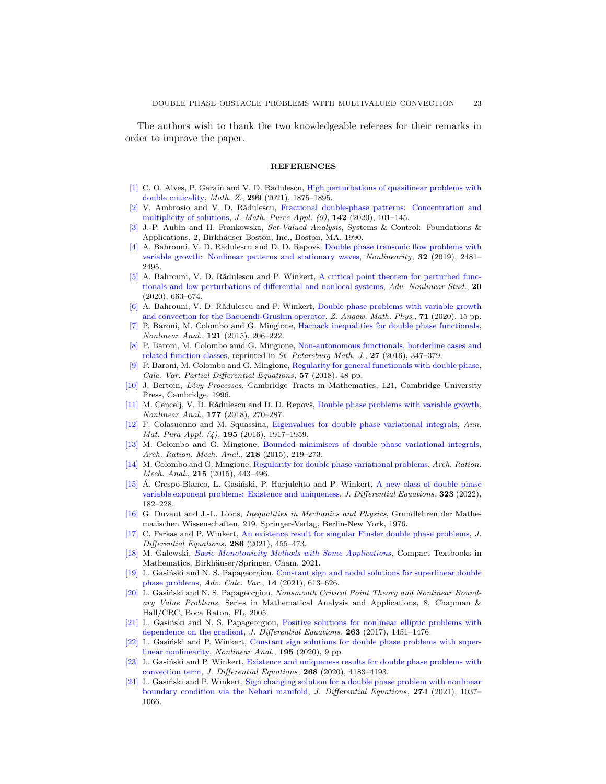The authors wish to thank the two knowledgeable referees for their remarks in order to improve the paper.

#### REFERENCES

- <span id="page-22-4"></span>[\[1\]](http://www.ams.org/mathscinet-getitem?mr=MR4329272&return=pdf) C. O. Alves, P. Garain and V. D. Rădulescu, [High perturbations of quasilinear problems with](http://dx.doi.org/10.1007/s00209-021-02757-z) [double criticality,](http://dx.doi.org/10.1007/s00209-021-02757-z) Math. Z., 299 (2021), 1875–1895.
- <span id="page-22-5"></span>[\[2\]](http://www.ams.org/mathscinet-getitem?mr=MR4149686&return=pdf) V. Ambrosio and V. D. Rădulescu, [Fractional double-phase patterns: Concentration and](http://dx.doi.org/10.1016/j.matpur.2020.08.011) [multiplicity of solutions,](http://dx.doi.org/10.1016/j.matpur.2020.08.011) J. Math. Pures Appl. (9), 142 (2020), 101–145.
- <span id="page-22-23"></span>[\[3\]](http://www.ams.org/mathscinet-getitem?mr=MR1048347&return=pdf) J.-P. Aubin and H. Frankowska, Set-Valued Analysis, Systems & Control: Foundations & Applications, 2, Birkhäuser Boston, Inc., Boston, MA, 1990.
- <span id="page-22-2"></span> $[4]$  A. Bahrouni, V. D. Rădulescu and D. D. Repovš, [Double phase transonic flow problems with](http://dx.doi.org/10.1088/1361-6544/ab0b03) [variable growth: Nonlinear patterns and stationary waves,](http://dx.doi.org/10.1088/1361-6544/ab0b03) Nonlinearity, 32 (2019), 2481– 2495.
- <span id="page-22-6"></span>[\[5\]](http://www.ams.org/mathscinet-getitem?mr=MR4129347&return=pdf) A. Bahrouni, V. D. Rădulescu and P. Winkert, [A critical point theorem for perturbed func](http://dx.doi.org/10.1515/ans-2020-2095)[tionals and low perturbations of differential and nonlocal systems,](http://dx.doi.org/10.1515/ans-2020-2095) Adv. Nonlinear Stud., 20 (2020), 663–674.
- <span id="page-22-7"></span>[\[6\]](http://www.ams.org/mathscinet-getitem?mr=MR4161962&return=pdf) A. Bahrouni, V. D. Rădulescu and P. Winkert, [Double phase problems with variable growth](http://dx.doi.org/10.1007/s00033-020-01412-7) [and convection for the Baouendi-Grushin operator,](http://dx.doi.org/10.1007/s00033-020-01412-7) Z. Angew. Math. Phys., 71 (2020), 15 pp.
- <span id="page-22-8"></span>[\[7\]](http://www.ams.org/mathscinet-getitem?mr=MR3348922&return=pdf) P. Baroni, M. Colombo and G. Mingione, [Harnack inequalities for double phase functionals,](http://dx.doi.org/10.1016/j.na.2014.11.001) Nonlinear Anal., 121 (2015), 206–222.
- <span id="page-22-9"></span>[\[8\]](http://www.ams.org/mathscinet-getitem?mr=MR3570955&return=pdf) P. Baroni, M. Colombo amd G. Mingione, [Non-autonomous functionals, borderline cases and](http://dx.doi.org/10.1090/spmj/1392) [related function classes,](http://dx.doi.org/10.1090/spmj/1392) reprinted in St. Petersburg Math. J., 27 (2016), 347–379.
- <span id="page-22-10"></span>[\[9\]](http://www.ams.org/mathscinet-getitem?mr=MR3775180&return=pdf) P. Baroni, M. Colombo and G. Mingione, [Regularity for general functionals with double phase,](http://dx.doi.org/10.1007/s00526-018-1332-z) Calc. Var. Partial Differential Equations, 57 (2018), 48 pp.
- <span id="page-22-3"></span>[\[10\]](http://www.ams.org/mathscinet-getitem?mr=MR1406564&return=pdf) J. Bertoin, Lévy Processes, Cambridge Tracts in Mathematics, 121, Cambridge University Press, Cambridge, 1996.
- <span id="page-22-11"></span>[\[11\]](http://www.ams.org/mathscinet-getitem?mr=MR3865198&return=pdf) M. Cencelj, V. D. Rădulescu and D. D. Repovš, [Double phase problems with variable growth,](http://dx.doi.org/10.1016/j.na.2018.03.016) Nonlinear Anal., 177 (2018), 270–287.
- <span id="page-22-12"></span>[\[12\]](http://www.ams.org/mathscinet-getitem?mr=MR3558314&return=pdf) F. Colasuonno and M. Squassina, [Eigenvalues for double phase variational integrals,](http://dx.doi.org/10.1007/s10231-015-0542-7) Ann. Mat. Pura Appl. (4), **195** (2016), 1917-1959.
- <span id="page-22-13"></span>[\[13\]](http://www.ams.org/mathscinet-getitem?mr=MR3360738&return=pdf) M. Colombo and G. Mingione, [Bounded minimisers of double phase variational integrals,](http://dx.doi.org/10.1007/s00205-015-0859-9) Arch. Ration. Mech. Anal., 218 (2015), 219-273.
- <span id="page-22-14"></span>[\[14\]](http://www.ams.org/mathscinet-getitem?mr=MR3294408&return=pdf) M. Colombo and G. Mingione, [Regularity for double phase variational problems,](http://dx.doi.org/10.1007/s00205-014-0785-2) Arch. Ration. Mech. Anal., **215** (2015), 443-496.
- <span id="page-22-22"></span>[\[15\]](http://www.ams.org/mathscinet-getitem?mr=MR4403612&return=pdf) A. Crespo-Blanco, L. Gasiński, P. Harjulehto and P. Winkert, [A new class of double phase](http://dx.doi.org/10.1016/j.jde.2022.03.029) [variable exponent problems: Existence and uniqueness,](http://dx.doi.org/10.1016/j.jde.2022.03.029) J. Differential Equations, 323 (2022), 182–228.
- <span id="page-22-0"></span>[\[16\]](http://www.ams.org/mathscinet-getitem?mr=MR0521262&return=pdf) G. Duvaut and J.-L. Lions, Inequalities in Mechanics and Physics, Grundlehren der Mathematischen Wissenschaften, 219, Springer-Verlag, Berlin-New York, 1976.
- <span id="page-22-15"></span>[\[17\]](http://www.ams.org/mathscinet-getitem?mr=MR4234813&return=pdf) C. Farkas and P. Winkert, [An existence result for singular Finsler double phase problems,](http://dx.doi.org/10.1016/j.jde.2021.03.036) J. Differential Equations,  $286$  (2021), 455-473.
- <span id="page-22-21"></span>[\[18\]](http://www.ams.org/mathscinet-getitem?mr=MR4331350&return=pdf) M. Galewski, [Basic Monotonicity Methods with Some Applications](http://dx.doi.org/10.1007/978-3-030-75308-5), Compact Textbooks in Mathematics, Birkhäuser/Springer, Cham, 2021.
- <span id="page-22-16"></span>[\[19\]](http://www.ams.org/mathscinet-getitem?mr=MR4319046&return=pdf) L. Gasiński and N. S. Papageorgiou, [Constant sign and nodal solutions for superlinear double](http://dx.doi.org/10.1515/acv-2019-0040) [phase problems,](http://dx.doi.org/10.1515/acv-2019-0040) Adv. Calc. Var., 14 (2021), 613–626.
- <span id="page-22-18"></span>[\[20\]](http://www.ams.org/mathscinet-getitem?mr=MR2092433&return=pdf) L. Gasiński and N. S. Papageorgiou, Nonsmooth Critical Point Theory and Nonlinear Boundary Value Problems, Series in Mathematical Analysis and Applications, 8, Chapman & Hall/CRC, Boca Raton, FL, 2005.
- <span id="page-22-17"></span>[\[21\]](http://www.ams.org/mathscinet-getitem?mr=MR3632225&return=pdf) L. Gasinski and N. S. Papageorgiou, [Positive solutions for nonlinear elliptic problems with](http://dx.doi.org/10.1016/j.jde.2017.03.021) [dependence on the gradient,](http://dx.doi.org/10.1016/j.jde.2017.03.021) J. Differential Equations, 263 (2017), 1451-1476.
- <span id="page-22-19"></span>L. Gasiński and P. Winkert, [Constant sign solutions for double phase problems with super](http://dx.doi.org/10.1016/j.na.2019.111739)[linear nonlinearity,](http://dx.doi.org/10.1016/j.na.2019.111739) Nonlinear Anal., 195 (2020), 9 pp.
- <span id="page-22-1"></span>[\[23\]](http://www.ams.org/mathscinet-getitem?mr=MR4066014&return=pdf) L. Gasinski and P. Winkert, [Existence and uniqueness results for double phase problems with](http://dx.doi.org/10.1016/j.jde.2019.10.022) [convection term,](http://dx.doi.org/10.1016/j.jde.2019.10.022) J. Differential Equations, 268 (2020), 4183–4193.
- <span id="page-22-20"></span>[\[24\]](http://www.ams.org/mathscinet-getitem?mr=MR4189002&return=pdf) L. Gasiński and P. Winkert, [Sign changing solution for a double phase problem with nonlinear](http://dx.doi.org/10.1016/j.jde.2020.11.014) [boundary condition via the Nehari manifold,](http://dx.doi.org/10.1016/j.jde.2020.11.014) J. Differential Equations, 274 (2021), 1037– 1066.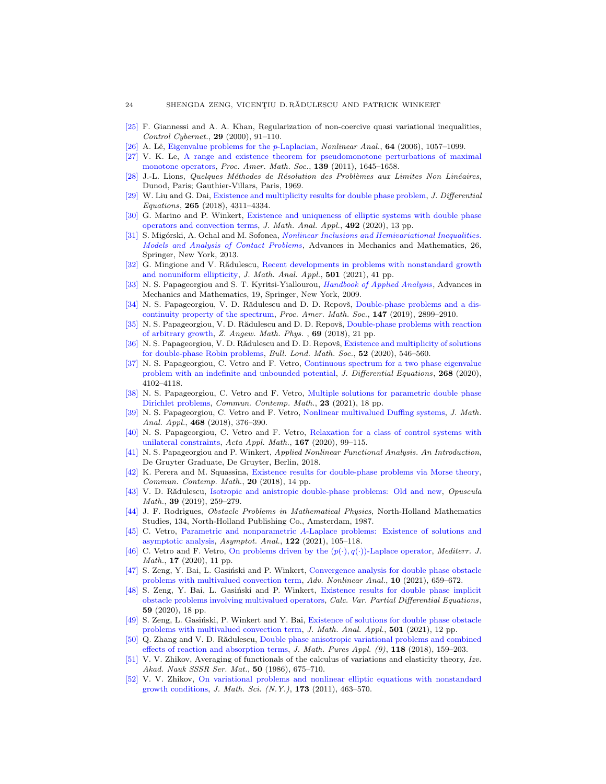- <span id="page-23-24"></span>[\[25\]](http://www.ams.org/mathscinet-getitem?mr=MR1775159&return=pdf) F. Giannessi and A. A. Khan, Regularization of non-coercive quasi variational inequalities, Control Cybernet., 29 (2000), 91–110.
- <span id="page-23-21"></span>A. Lê, [Eigenvalue problems for the](http://dx.doi.org/10.1016/j.na.2005.05.056) p-Laplacian, Nonlinear Anal., 64 (2006), 1057–1099.
- <span id="page-23-26"></span>[\[27\]](http://www.ams.org/mathscinet-getitem?mr=MR2763754&return=pdf) V. K. Le, [A range and existence theorem for pseudomonotone perturbations of maximal](http://dx.doi.org/10.1090/S0002-9939-2010-10594-4) [monotone operators,](http://dx.doi.org/10.1090/S0002-9939-2010-10594-4) Proc. Amer. Math. Soc., 139 (2011), 1645–1658.
- <span id="page-23-0"></span>[\[28\]](http://www.ams.org/mathscinet-getitem?mr=MR0259693&return=pdf) J.-L. Lions, Quelques Méthodes de Résolution des Problèmes aux Limites Non Linéaires, Dunod, Paris; Gauthier-Villars, Paris, 1969.
- <span id="page-23-7"></span>[\[29\]](http://www.ams.org/mathscinet-getitem?mr=MR3843302&return=pdf) W. Liu and G. Dai, [Existence and multiplicity results for double phase problem,](http://dx.doi.org/10.1016/j.jde.2018.06.006) J. Differential Equations, 265 (2018), 4311–4334.
- <span id="page-23-8"></span>[\[30\]](http://www.ams.org/mathscinet-getitem?mr=MR4127988&return=pdf) G. Marino and P. Winkert, [Existence and uniqueness of elliptic systems with double phase](http://dx.doi.org/10.1016/j.jmaa.2020.124423) [operators and convection terms,](http://dx.doi.org/10.1016/j.jmaa.2020.124423) J. Math. Anal. Appl., 492 (2020), 13 pp.
- <span id="page-23-22"></span>[\[31\]](http://www.ams.org/mathscinet-getitem?mr=MR2976197&return=pdf) S. Migórski, A. Ochal and M. Sofonea, [Nonlinear Inclusions and Hemivariational Inequalities.](http://dx.doi.org/10.1007/978-1-4614-4232-5) [Models and Analysis of Contact Problems](http://dx.doi.org/10.1007/978-1-4614-4232-5), Advances in Mechanics and Mathematics, 26, Springer, New York, 2013.
- <span id="page-23-20"></span>[\[32\]](http://www.ams.org/mathscinet-getitem?mr=MR4258810&return=pdf) G. Mingione and V. Rădulescu, [Recent developments in problems with nonstandard growth](http://dx.doi.org/10.1016/j.jmaa.2021.125197) [and nonuniform ellipticity,](http://dx.doi.org/10.1016/j.jmaa.2021.125197) J. Math. Anal. Appl., 501 (2021), 41 pp.
- <span id="page-23-23"></span>[\[33\]](http://www.ams.org/mathscinet-getitem?mr=MR2527754&return=pdf) N. S. Papageorgiou and S. T. Kyritsi-Yiallourou, *[Handbook of Applied Analysis](http://dx.doi.org/10.1007/b120946)*, Advances in Mechanics and Mathematics, 19, Springer, New York, 2009.
- <span id="page-23-9"></span>[\[34\]](http://www.ams.org/mathscinet-getitem?mr=MR3973893&return=pdf) N. S. Papageorgiou, V. D. Rădulescu and D. D. Repovš, [Double-phase problems and a dis](http://dx.doi.org/10.1090/proc/14466)[continuity property of the spectrum,](http://dx.doi.org/10.1090/proc/14466) Proc. Amer. Math. Soc., 147 (2019), 2899–2910.
- <span id="page-23-10"></span>[\[35\]](http://www.ams.org/mathscinet-getitem?mr=MR3836199&return=pdf) N. S. Papageorgiou, V. D. Rădulescu and D. D. Repovš, [Double-phase problems with reaction](http://dx.doi.org/10.1007/s00033-018-1001-2) [of arbitrary growth,](http://dx.doi.org/10.1007/s00033-018-1001-2) Z. Angew. Math. Phys. , 69 (2018), 21 pp.
- <span id="page-23-5"></span>[\[36\]](http://www.ams.org/mathscinet-getitem?mr=MR4171387&return=pdf) N. S. Papageorgiou, V. D. Rădulescu and D. D. Repovš, [Existence and multiplicity of solutions](http://dx.doi.org/10.1112/blms.12347) [for double-phase Robin problems,](http://dx.doi.org/10.1112/blms.12347) Bull. Lond. Math. Soc., 52 (2020), 546–560.
- <span id="page-23-11"></span>[\[37\]](http://www.ams.org/mathscinet-getitem?mr=MR4066018&return=pdf) N. S. Papageorgiou, C. Vetro and F. Vetro, [Continuous spectrum for a two phase eigenvalue](http://dx.doi.org/10.1016/j.jde.2019.10.026) [problem with an indefinite and unbounded potential,](http://dx.doi.org/10.1016/j.jde.2019.10.026) J. Differential Equations, 268 (2020), 4102–4118.
- <span id="page-23-12"></span>[\[38\]](http://www.ams.org/mathscinet-getitem?mr=MR4237564&return=pdf) N. S. Papageorgiou, C. Vetro and F. Vetro, [Multiple solutions for parametric double phase](http://dx.doi.org/10.1142/S0219199720500066) [Dirichlet problems,](http://dx.doi.org/10.1142/S0219199720500066) Commun. Contemp. Math., 23 (2021), 18 pp.
- <span id="page-23-25"></span>[\[39\]](http://www.ams.org/mathscinet-getitem?mr=MR3848992&return=pdf) N. S. Papageorgiou, C. Vetro and F. Vetro, [Nonlinear multivalued Duffing systems,](http://dx.doi.org/10.1016/j.jmaa.2018.08.024) J. Math. Anal. Appl., 468 (2018), 376-390.
- <span id="page-23-13"></span>[\[40\]](http://www.ams.org/mathscinet-getitem?mr=MR4103919&return=pdf) N. S. Papageorgiou, C. Vetro and F. Vetro, [Relaxation for a class of control systems with](http://dx.doi.org/10.1007/s10440-019-00270-4) [unilateral constraints,](http://dx.doi.org/10.1007/s10440-019-00270-4) Acta Appl. Math., 167 (2020), 99–115.
- <span id="page-23-19"></span>[\[41\]](http://www.ams.org/mathscinet-getitem?mr=MR3823796&return=pdf) N. S. Papageorgiou and P. Winkert, Applied Nonlinear Functional Analysis. An Introduction, De Gruyter Graduate, De Gruyter, Berlin, 2018.
- <span id="page-23-14"></span>[\[42\]](http://www.ams.org/mathscinet-getitem?mr=MR3730751&return=pdf) K. Perera and M. Squassina, [Existence results for double-phase problems via Morse theory,](http://dx.doi.org/10.1142/S0219199717500237) Commun. Contemp. Math., 20 (2018), 14 pp.
- <span id="page-23-15"></span>[\[43\]](http://www.ams.org/mathscinet-getitem?mr=MR3897817&return=pdf) V. D. Rădulescu, [Isotropic and anistropic double-phase problems: Old and new,](http://dx.doi.org/10.7494/OpMath.2019.39.2.259) *Opuscula* Math., 39 (2019), 259–279.
- <span id="page-23-1"></span>[\[44\]](http://www.ams.org/mathscinet-getitem?mr=MR880369&return=pdf) J. F. Rodrigues, Obstacle Problems in Mathematical Physics, North-Holland Mathematics Studies, 134, North-Holland Publishing Co., Amsterdam, 1987.
- <span id="page-23-16"></span>[\[45\]](http://www.ams.org/mathscinet-getitem?mr=MR4230072&return=pdf) C. Vetro, Parametric and nonparametric A[-Laplace problems: Existence of solutions and](http://dx.doi.org/10.3233/ASY-201612) [asymptotic analysis,](http://dx.doi.org/10.3233/ASY-201612) Asymptot. Anal., 122 (2021), 105–118.
- <span id="page-23-17"></span>[\[46\]](http://www.ams.org/mathscinet-getitem?mr=MR4042969&return=pdf) C. Vetro and F. Vetro, On problems driven by the  $(p(\cdot), q(\cdot))$ -Laplace operator, *Mediterr. J.* Math., 17 (2020), 11 pp.
- <span id="page-23-27"></span>[\[47\]](http://www.ams.org/mathscinet-getitem?mr=MR4178745&return=pdf) S. Zeng, Y. Bai, L. Gasiński and P. Winkert, [Convergence analysis for double phase obstacle](http://dx.doi.org/10.1515/anona-2020-0155) [problems with multivalued convection term,](http://dx.doi.org/10.1515/anona-2020-0155) Adv. Nonlinear Anal., 10 (2021), 659–672.
- <span id="page-23-6"></span>S. Zeng, Y. Bai, L. Gasiński and P. Winkert, [Existence results for double phase implicit](http://dx.doi.org/10.1007/s00526-020-01841-2) [obstacle problems involving multivalued operators,](http://dx.doi.org/10.1007/s00526-020-01841-2) Calc. Var. Partial Differential Equations, 59 (2020), 18 pp.
- <span id="page-23-2"></span>[\[49\]](http://www.ams.org/mathscinet-getitem?mr=MR4258790&return=pdf) S. Zeng, L. Gasiński, P. Winkert and Y. Bai, [Existence of solutions for double phase obstacle](http://dx.doi.org/10.1016/j.jmaa.2020.123997) [problems with multivalued convection term,](http://dx.doi.org/10.1016/j.jmaa.2020.123997) J. Math. Anal. Appl., 501 (2021), 12 pp.
- <span id="page-23-18"></span>[\[50\]](http://www.ams.org/mathscinet-getitem?mr=MR3852472&return=pdf) Q. Zhang and V. D. Rădulescu, [Double phase anisotropic variational problems and combined](http://dx.doi.org/10.1016/j.matpur.2018.06.015) [effects of reaction and absorption terms,](http://dx.doi.org/10.1016/j.matpur.2018.06.015)  $J. Math. Pures Appl. (9), 118 (2018), 159-203.$
- <span id="page-23-3"></span>[\[51\]](http://www.ams.org/mathscinet-getitem?mr=MR864171&return=pdf) V. V. Zhikov, Averaging of functionals of the calculus of variations and elasticity theory, Izv. Akad. Nauk SSSR Ser. Mat., 50 (1986), 675–710.
- <span id="page-23-4"></span>[\[52\]](http://www.ams.org/mathscinet-getitem?mr=MR2839881&return=pdf) V. V. Zhikov, [On variational problems and nonlinear elliptic equations with nonstandard](http://dx.doi.org/10.1007/s10958-011-0260-7) [growth conditions,](http://dx.doi.org/10.1007/s10958-011-0260-7) J. Math. Sci. (N.Y.), 173 (2011), 463–570.